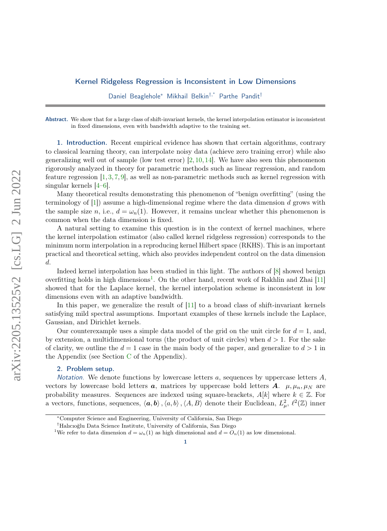### <span id="page-0-0"></span>Kernel Ridgeless Regression is Inconsistent in Low Dimensions

Daniel Beaglehole\* Mikhail Belkin<sup>†,\*</sup> Parthe Pandit<sup>†</sup>

Abstract. We show that for a large class of shift-invariant kernels, the kernel interpolation estimator is inconsistent in fixed dimensions, even with bandwidth adaptive to the training set.

1. Introduction. Recent empirical evidence has shown that certain algorithms, contrary to classical learning theory, can interpolate noisy data (achieve zero training error) while also generalizing well out of sample (low test error)  $[2, 10, 14]$  $[2, 10, 14]$  $[2, 10, 14]$  $[2, 10, 14]$  $[2, 10, 14]$ . We have also seen this phenomenon rigorously analyzed in theory for parametric methods such as linear regression, and random feature regression [\[1,](#page-9-0) [3,](#page-10-3) [7,](#page-10-4) [9\]](#page-10-5), as well as non-parametric methods such as kernel regression with singular kernels [\[4–](#page-10-6)[6\]](#page-10-7).

Many theoretical results demonstrating this phenomenon of "benign overfitting" (using the terminology of  $[1]$ ) assume a high-dimensional regime where the data dimension d grows with the sample size n, i.e.,  $d = \omega_n(1)$ . However, it remains unclear whether this phenomenon is common when the data dimension is fixed.

A natural setting to examine this question is in the context of kernel machines, where the kernel interpolation estimator (also called kernel ridgeless regression) corresponds to the minimum norm interpolation in a reproducing kernel Hilbert space (RKHS). This is an important practical and theoretical setting, which also provides independent control on the data dimension d.

Indeed kernel interpolation has been studied in this light. The authors of [\[8\]](#page-10-8) showed benign overfitting holds in high dimensions<sup>1</sup>. On the other hand, recent work of Rakhlin and Zhai [\[11\]](#page-10-9) showed that for the Laplace kernel, the kernel interpolation scheme is inconsistent in low dimensions even with an adaptive bandwidth.

In this paper, we generalize the result of [\[11\]](#page-10-9) to a broad class of shift-invariant kernels satisfying mild spectral assumptions. Important examples of these kernels include the Laplace, Gaussian, and Dirichlet kernels.

Our counterexample uses a simple data model of the grid on the unit circle for  $d = 1$ , and, by extension, a multidimensional torus (the product of unit circles) when  $d > 1$ . For the sake of clarity, we outline the  $d = 1$  case in the main body of the paper, and generalize to  $d > 1$  in the Appendix (see Section [C](#page-15-0) of the Appendix).

#### 2. Problem setup.

Notation. We denote functions by lowercase letters  $a$ , sequences by uppercase letters  $A$ , vectors by lowercase bold letters  $a$ , matrices by uppercase bold letters  $A$ .  $\mu$ ,  $\mu<sub>N</sub>$ ,  $\mu<sub>N</sub>$  are probability measures. Sequences are indexed using square-brackets,  $A[k]$  where  $k \in \mathbb{Z}$ . For a vectors, functions, sequences,  $\langle a, b \rangle$ ,  $\langle a, b \rangle$ ,  $\langle A, B \rangle$  denote their Euclidean,  $L^2_{\mu}$ ,  $\ell^2(\mathbb{Z})$  inner

<sup>∗</sup>Computer Science and Engineering, University of California, San Diego

<sup>&</sup>lt;sup>†</sup>Halıcıoğlu Data Science Institute, University of California, San Diego

<sup>&</sup>lt;sup>1</sup>We refer to data dimension  $d = \omega_n(1)$  as high dimensional and  $d = O_n(1)$  as low dimensional.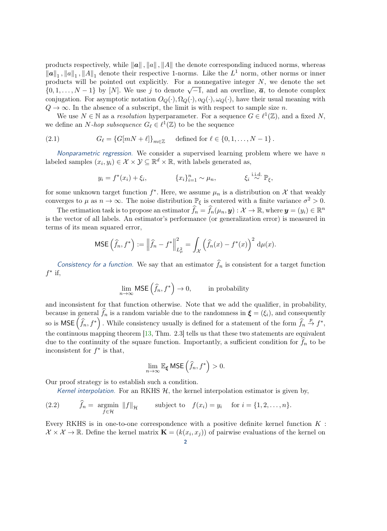products respectively, while  $\|\boldsymbol{a}\|$ ,  $\|\boldsymbol{a}\|$ ,  $\|\boldsymbol{A}\|$  the denote corresponding induced norms, whereas  $||a||_1$ ,  $||a||_1$ ,  $||A||_1$  denote their respective 1-norms. Like the  $L^1$  norm, other norms or inner products will be pointed out explicitly. For a nonnegative integer  $N$ , we denote the set products will be pointed out explicitly. For a homegative integer *N*, we denote the set  $\{0, 1, ..., N-1\}$  by [*N*]. We use *j* to denote  $\sqrt{-1}$ , and an overline,  $\bar{a}$ , to denote complex conjugation. For asymptotic notation  $O_Q(\cdot), \Omega_Q(\cdot), o_Q(\cdot), \omega_Q(\cdot)$ , have their usual meaning with  $Q \rightarrow \infty$ . In the absence of a subscript, the limit is with respect to sample size n.

We use  $N \in \mathbb{N}$  as a resolution hyperparameter. For a sequence  $G \in \ell^1(\mathbb{Z})$ , and a fixed N, we define an N-hop subsequence  $G_{\ell} \in \ell^1(\mathbb{Z})$  to be the sequence

<span id="page-1-1"></span>
$$
(2.1) \tG_{\ell} = \left\{ G[mN + \ell] \right\}_{m \in \mathbb{Z}} \quad \text{defined for } \ell \in \{0, 1, \ldots, N - 1\}.
$$

Nonparametric regression. We consider a supervised learning problem where we have  $n$ labeled samples  $(x_i, y_i) \in \mathcal{X} \times \mathcal{Y} \subseteq \mathbb{R}^d \times \mathbb{R}$ , with labels generated as,

$$
y_i = f^*(x_i) + \xi_i, \qquad \{x_i\}_{i=1}^n \sim \mu_n, \qquad \xi_i \stackrel{\text{i.i.d.}}{\sim} \mathbb{P}_{\xi},
$$

for some unknown target function  $f^*$ . Here, we assume  $\mu_n$  is a distribution on X that weakly converges to  $\mu$  as  $n \to \infty$ . The noise distribution  $\mathbb{P}_{\xi}$  is centered with a finite variance  $\sigma^2 > 0$ .

The estimation task is to propose an estimator  $\widehat{f}_n = \widehat{f}_n(\mu_n, y) : \mathcal{X} \to \mathbb{R}$ , where  $y = (y_i) \in \mathbb{R}^n$ is the vector of all labels. An estimator's performance (or generalization error) is measured in terms of its mean squared error,

$$
\text{MSE}\left(\widehat{f}_n, f^*\right) := \left\|\widehat{f}_n - f^*\right\|_{L^2_\mu}^2 = \int_{\mathcal{X}} \left(\widehat{f}_n(x) - f^*(x)\right)^2 \, \mathrm{d}\mu(x).
$$

Consistency for a function. We say that an estimator  $\widehat{f}_n$  is consistent for a target function  $f^*$  if,

$$
\lim_{n \to \infty} \mathsf{MSE}\left(\widehat{f}_n, f^*\right) \to 0, \quad \text{in probability}
$$

and inconsistent for that function otherwise. Note that we add the qualifier, in probability, because in general  $\widehat{f}_n$  is a random variable due to the randomness in  $\boldsymbol{\xi} = (\xi_i)$ , and consequently so is  ${\sf MSE}\left(\widehat{f}_n, f^*\right)$ . While consistency usually is defined for a statement of the form  $\widehat{f}_n \stackrel{p}{\to} f^*,$ the continuous mapping theorem [\[13,](#page-10-10) Thm. 2.3] tells us that these two statements are equivalent due to the continuity of the square function. Importantly, a sufficient condition for  $\widehat{f}_n$  to be inconsistent for  $f^*$  is that,

$$
\lim_{n\to\infty}\mathbb{E}_{\xi}\,\mathsf{MSE}\left(\widehat{f}_n,f^*\right)>0.
$$

Our proof strategy is to establish such a condition.

Kernel interpolation. For an RKHS  $H$ , the kernel interpolation estimator is given by,

<span id="page-1-0"></span>(2.2) 
$$
\widehat{f}_n = \underset{f \in \mathcal{H}}{\text{argmin}} \|f\|_{\mathcal{H}} \quad \text{subject to} \quad f(x_i) = y_i \quad \text{for } i = \{1, 2, \dots, n\}.
$$

Every RKHS is in one-to-one correspondence with a positive definite kernel function  $K$ :  $\mathcal{X} \times \mathcal{X} \to \mathbb{R}$ . Define the kernel matrix  $\mathbf{K} = (k(x_i, x_j))$  of pairwise evaluations of the kernel on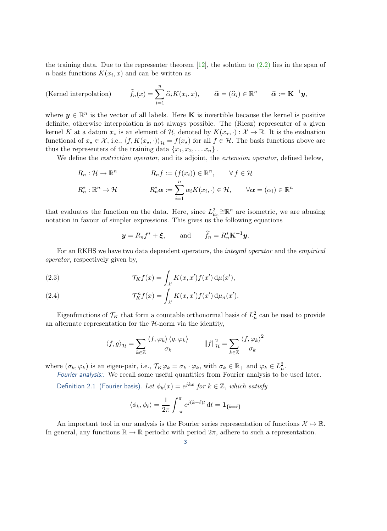the training data. Due to the representer theorem  $[12]$ , the solution to  $(2.2)$  lies in the span of *n* basis functions  $K(x_i, x)$  and can be written as

(Kernel interpolation)  $\hat{f}_n(x) = \sum_{i=1}^n \hat{\alpha}_i K(x_i, x), \quad \hat{\alpha} = (\hat{\alpha}_i) \in \mathbb{R}^n \quad \hat{\alpha} := \mathbf{K}^{-1} \mathbf{y},$ 

where  $y \in \mathbb{R}^n$  is the vector of all labels. Here **K** is invertible because the kernel is positive definite, otherwise interpolation is not always possible. The (Riesz) representer of a given kernel K at a datum  $x_*$  is an element of H, denoted by  $K(x_*, \cdot): \mathcal{X} \to \mathbb{R}$ . It is the evaluation functional of  $x_* \in \mathcal{X}$ , i.e.,  $\langle f, K(x_*, \cdot) \rangle_{\mathcal{H}} = f(x_*)$  for all  $f \in \mathcal{H}$ . The basis functions above are thus the representers of the training data  $\{x_1, x_2, \ldots x_n\}$ .

We define the *restriction operator*, and its adjoint, the *extension operator*, defined below,

$$
R_n: \mathcal{H} \to \mathbb{R}^n
$$
  
\n
$$
R_n f := (f(x_i)) \in \mathbb{R}^n, \quad \forall f \in \mathcal{H}
$$
  
\n
$$
R_n^* : \mathbb{R}^n \to \mathcal{H}
$$
  
\n
$$
R_n^* \alpha := \sum_{i=1}^n \alpha_i K(x_i, \cdot) \in \mathcal{H}, \quad \forall \alpha = (\alpha_i) \in \mathbb{R}^n
$$

that evaluates the function on the data. Here, since  $L^2_{\mu_n} \cong \mathbb{R}^n$  are isometric, we are abusing notation in favour of simpler expressions. This gives us the following equations

$$
y = R_n f^* + \xi
$$
, and  $\hat{f}_n = R_n^* \mathbf{K}^{-1} y$ .

For an RKHS we have two data dependent operators, the *integral operator* and the *empirical* operator, respectively given by,

(2.3) 
$$
\mathcal{T}_K f(x) = \int_{\mathcal{X}} K(x, x') f(x') \, \mathrm{d}\mu(x'),
$$

<span id="page-2-0"></span>(2.4) 
$$
\mathcal{T}_K^n f(x) = \int_{\mathcal{X}} K(x, x') f(x') d\mu_n(x').
$$

Eigenfunctions of  $\mathcal{T}_K$  that form a countable orthonormal basis of  $L^2_\mu$  can be used to provide an alternate representation for the  $H$ -norm via the identity,

$$
\langle f, g \rangle_{\mathcal{H}} = \sum_{k \in \mathbb{Z}} \frac{\langle f, \varphi_k \rangle \langle g, \varphi_k \rangle}{\sigma_k} \qquad ||f||_{\mathcal{H}}^2 = \sum_{k \in \mathbb{Z}} \frac{\langle f, \varphi_k \rangle^2}{\sigma_k}
$$

where  $(\sigma_k, \varphi_k)$  is an eigen-pair, i.e.,  $\mathcal{T}_K \varphi_k = \sigma_k \cdot \varphi_k$ , with  $\sigma_k \in \mathbb{R}_+$  and  $\varphi_k \in L^2_{\mu}$ .

Fourier analysis:. We recall some useful quantities from Fourier analysis to be used later.

Definition 2.1 (Fourier basis). Let  $\phi_k(x) = e^{jkx}$  for  $k \in \mathbb{Z}$ , which satisfy

$$
\langle \phi_k, \phi_\ell \rangle = \frac{1}{2\pi} \int_{-\pi}^{\pi} e^{j(k-\ell)t} dt = \mathbf{1}_{\{k=\ell\}}
$$

An important tool in our analysis is the Fourier series representation of functions  $\mathcal{X} \mapsto \mathbb{R}$ . In general, any functions  $\mathbb{R} \to \mathbb{R}$  periodic with period  $2\pi$ , adhere to such a representation.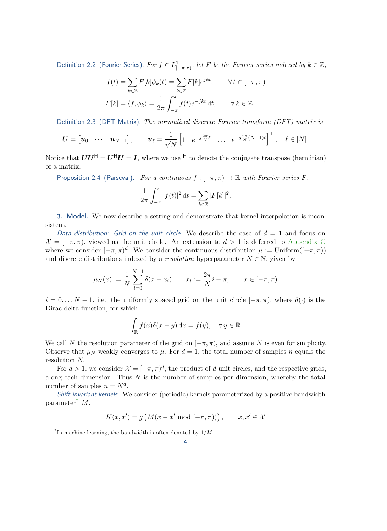Definition 2.2 (Fourier Series). For  $f \in L^1_{[-\pi,\pi)}$ , let F be the Fourier series indexed by  $k \in \mathbb{Z}$ ,

$$
f(t) = \sum_{k \in \mathbb{Z}} F[k] \phi_k(t) = \sum_{k \in \mathbb{Z}} F[k] e^{jkt}, \qquad \forall t \in [-\pi, \pi)
$$

$$
F[k] = \langle f, \phi_k \rangle = \frac{1}{2\pi} \int_{-\pi}^{\pi} f(t) e^{-jkt} dt, \qquad \forall k \in \mathbb{Z}
$$

Definition 2.3 (DFT Matrix). The normalized discrete Fourier transform (DFT) matrix is

$$
\boldsymbol{U} = \begin{bmatrix} \boldsymbol{u}_0 & \cdots & \boldsymbol{u}_{N-1} \end{bmatrix}, \qquad \boldsymbol{u}_{\ell} = \frac{1}{\sqrt{N}} \begin{bmatrix} 1 & e^{-j\frac{2\pi}{N}\ell} & \cdots & e^{-j\frac{2\pi}{N}(N-1)\ell} \end{bmatrix}^\top, \quad \ell \in [N].
$$

Notice that  $UU^H = U^H U = I$ , where we use <sup>H</sup> to denote the conjugate transpose (hermitian) of a matrix.

<span id="page-3-0"></span>Proposition 2.4 (Parseval). For a continuous  $f : [-\pi, \pi) \to \mathbb{R}$  with Fourier series F,

$$
\frac{1}{2\pi} \int_{-\pi}^{\pi} |f(t)|^2 dt = \sum_{k \in \mathbb{Z}} |F[k]|^2.
$$

<span id="page-3-1"></span>3. Model. We now describe a setting and demonstrate that kernel interpolation is inconsistent.

Data distribution: Grid on the unit circle. We describe the case of  $d = 1$  and focus on  $\mathcal{X} = [-\pi, \pi)$ , viewed as the unit circle. An extension to  $d > 1$  is deferred to [Appendix C](#page-15-0) where we consider  $[-\pi, \pi)^d$ . We consider the continuous distribution  $\mu := \text{Uniform}([-\pi, \pi))$ and discrete distributions indexed by a *resolution* hyperparameter  $N \in \mathbb{N}$ , given by

$$
\mu_N(x) := \frac{1}{N} \sum_{i=0}^{N-1} \delta(x - x_i) \qquad x_i := \frac{2\pi}{N} i - \pi, \qquad x \in [-\pi, \pi)
$$

 $i = 0, \ldots N-1$ , i.e., the uniformly spaced grid on the unit circle  $[-\pi, \pi)$ , where  $\delta(\cdot)$  is the Dirac delta function, for which

$$
\int_{\mathbb{R}} f(x)\delta(x-y) dx = f(y), \quad \forall y \in \mathbb{R}
$$

We call N the resolution parameter of the grid on  $[-\pi, \pi)$ , and assume N is even for simplicity. Observe that  $\mu_N$  weakly converges to  $\mu$ . For  $d = 1$ , the total number of samples n equals the resolution N.

For  $d > 1$ , we consider  $\mathcal{X} = [-\pi, \pi)^d$ , the product of d unit circles, and the respective grids, along each dimension. Thus  $N$  is the number of samples per dimension, whereby the total number of samples  $n = N<sup>d</sup>$ .

Shift-invariant kernels. We consider (periodic) kernels parameterized by a positive bandwidth parameter<sup>[2](#page-0-0)</sup>  $M$ ,

$$
K(x, x') = g\left(M(x - x' \bmod [-\pi, \pi))\right), \qquad x, x' \in \mathcal{X}
$$

<sup>&</sup>lt;sup>2</sup>In machine learning, the bandwidth is often denoted by  $1/M$ .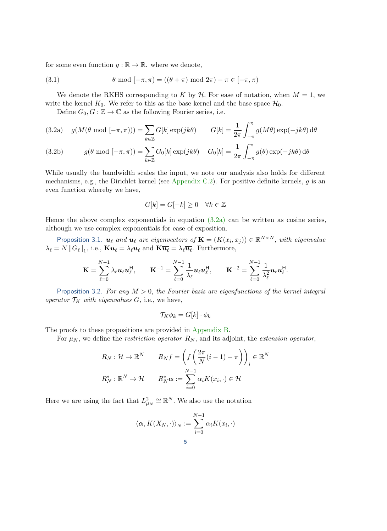for some even function  $g : \mathbb{R} \to \mathbb{R}$ . where we denote,

<span id="page-4-3"></span>(3.1) 
$$
\theta \mod [-\pi, \pi) = ((\theta + \pi) \mod 2\pi) - \pi \in [-\pi, \pi)
$$

We denote the RKHS corresponding to K by  $\mathcal{H}$ . For ease of notation, when  $M = 1$ , we write the kernel  $K_0$ . We refer to this as the base kernel and the base space  $\mathcal{H}_0$ .

Define  $G_0, G : \mathbb{Z} \to \mathbb{C}$  as the following Fourier series, i.e.

<span id="page-4-0"></span>(3.2a) 
$$
g(M(\theta \mod [-\pi, \pi))) = \sum_{k \in \mathbb{Z}} G[k] \exp(jk\theta) \qquad G[k] = \frac{1}{2\pi} \int_{-\pi}^{\pi} g(M\theta) \exp(-jk\theta) d\theta
$$

(3.2b) 
$$
g(\theta \mod [-\pi,\pi)) = \sum_{k \in \mathbb{Z}} G_0[k] \exp(jk\theta) \quad G_0[k] = \frac{1}{2\pi} \int_{-\pi}^{\pi} g(\theta) \exp(-jk\theta) d\theta
$$

While usually the bandwidth scales the input, we note our analysis also holds for different mechanisms, e.g., the Dirichlet kernel (see [Appendix C.2\)](#page-18-0). For positive definite kernels, g is an even function whereby we have,

$$
G[k] = G[-k] \ge 0 \quad \forall k \in \mathbb{Z}
$$

Hence the above complex exponentials in equation  $(3.2a)$  can be written as cosine series, although we use complex exponentials for ease of exposition.

<span id="page-4-1"></span>Proposition 3.1.  $u_\ell$  and  $\overline{u_\ell}$  are eigenvectors of  $\mathbf{K} = (K(x_i, x_j)) \in \mathbb{R}^{N \times N}$ , with eigenvalue  $\lambda_{\ell} = N \|G_{\ell}\|_{1}$ , i.e.,  $\mathbf{Ku}_{\ell} = \lambda_{\ell} \mathbf{u}_{\ell}$  and  $\mathbf{Ku}_{\ell} = \lambda_{\ell} \overline{\mathbf{u}_{\ell}}$ . Furthermore,

$$
\mathbf{K} = \sum_{\ell=0}^{N-1} \lambda_{\ell} \mathbf{u}_{\ell} \mathbf{u}_{\ell}^{\mathsf{H}}, \qquad \mathbf{K}^{-1} = \sum_{\ell=0}^{N-1} \frac{1}{\lambda_{\ell}} \mathbf{u}_{\ell} \mathbf{u}_{\ell}^{\mathsf{H}}, \qquad \mathbf{K}^{-2} = \sum_{\ell=0}^{N-1} \frac{1}{\lambda_{\ell}^{2}} \mathbf{u}_{\ell} \mathbf{u}_{\ell}^{\mathsf{H}}.
$$

<span id="page-4-2"></span>Proposition 3.2. For any  $M > 0$ , the Fourier basis are eigenfunctions of the kernel integral operator  $\mathcal{T}_K$  with eigenvalues G, i.e., we have,

$$
\mathcal{T}_K \phi_k = G[k] \cdot \phi_k
$$

The proofs to these propositions are provided in [Appendix B.](#page-14-0)

For  $\mu_N$ , we define the *restriction operator*  $R_N$ , and its adjoint, the *extension operator*,

$$
R_N: \mathcal{H} \to \mathbb{R}^N \qquad R_N f = \left( f \left( \frac{2\pi}{N} (i - 1) - \pi \right) \right)_i \in \mathbb{R}^N
$$

$$
R_N^* : \mathbb{R}^N \to \mathcal{H} \qquad R_N^* \alpha := \sum_{i=0}^{N-1} \alpha_i K(x_i, \cdot) \in \mathcal{H}
$$

Here we are using the fact that  $L^2_{\mu_N} \cong \mathbb{R}^N$ . We also use the notation

$$
\langle \alpha, K(X_N, \cdot) \rangle_N := \sum_{i=0}^{N-1} \alpha_i K(x_i, \cdot)
$$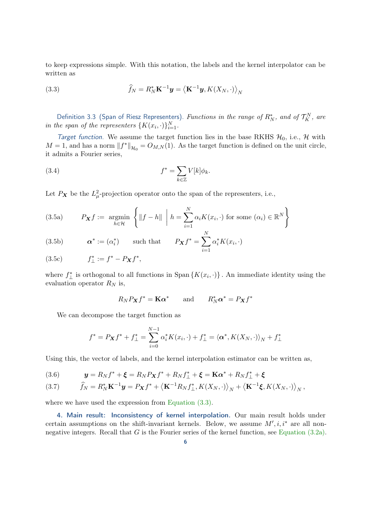to keep expressions simple. With this notation, the labels and the kernel interpolator can be written as

<span id="page-5-0"></span>(3.3) 
$$
\widehat{f}_N = R_N^* \mathbf{K}^{-1} \mathbf{y} = \left\langle \mathbf{K}^{-1} \mathbf{y}, K(X_N, \cdot) \right\rangle_N
$$

Definition 3.3 (Span of Riesz Representers). *Functions in the range of*  $R^*_N$ *, and of*  $\mathcal{T}^N_K$ *, are* in the span of the representers  $\{K(x_i, \cdot)\}_{i=1}^N$ .

Target function. We assume the target function lies in the base RKHS  $H_0$ , i.e., H with  $M = 1$ , and has a norm  $||f^*||_{\mathcal{H}_0} = O_{M,N}(1)$ . As the target function is defined on the unit circle, it admits a Fourier series,

(3.4) 
$$
f^* = \sum_{k \in \mathbb{Z}} V[k] \phi_k.
$$

Let  $P_X$  be the  $L^2_{\mu}$ -projection operator onto the span of the representers, i.e.,

(3.5a) 
$$
P_{\mathbf{X}}f := \underset{h \in \mathcal{H}}{\operatorname{argmin}} \left\{ \|f - h\| \mid h = \sum_{i=1}^{N} \alpha_i K(x_i, \cdot) \text{ for some } (\alpha_i) \in \mathbb{R}^N \right\}
$$

(3.5b) 
$$
\boldsymbol{\alpha}^* := (\alpha_i^*) \qquad \text{such that} \qquad P_{\boldsymbol{X}} f^* = \sum_{i=1}^N \alpha_i^* K(x_i, \cdot)
$$

(3.5c) 
$$
f_{\perp}^* := f^* - P_{\mathbf{X}} f^*,
$$

where  $f_{\perp}^*$  is orthogonal to all functions in Span  $\{K(x_i, \cdot)\}\)$ . An immediate identity using the evaluation operator  $R_N$  is,

<span id="page-5-2"></span>
$$
R_N P_X f^* = \mathbf{K} \alpha^*
$$
 and  $R_N^* \alpha^* = P_X f^*$ 

We can decompose the target function as

$$
f^* = P_{\mathbf{X}} f^* + f^*_{\perp} = \sum_{i=0}^{N-1} \alpha_i^* K(x_i, \cdot) + f^*_{\perp} = \langle \alpha^*, K(X_N, \cdot) \rangle_N + f^*_{\perp}
$$

Using this, the vector of labels, and the kernel interpolation estimator can be written as,

(3.6) 
$$
y = R_N f^* + \xi = R_N P_X f^* + R_N f^*_{\perp} + \xi = K \alpha^* + R_N f^*_{\perp} + \xi
$$

<span id="page-5-3"></span>(3.7) 
$$
\widehat{f}_N = R_N^* \mathbf{K}^{-1} \mathbf{y} = P_{\mathbf{X}} f^* + \left\langle \mathbf{K}^{-1} R_N f^*_{\perp}, K(X_N, \cdot) \right\rangle_N + \left\langle \mathbf{K}^{-1} \xi, K(X_N, \cdot) \right\rangle_N,
$$

where we have used the expression from [Equation \(3.3\).](#page-5-0)

<span id="page-5-1"></span>4. Main result: Inconsistency of kernel interpolation. Our main result holds under certain assumptions on the shift-invariant kernels. Below, we assume  $M', i, i^*$  are all nonnegative integers. Recall that  $G$  is the Fourier series of the kernel function, see [Equation \(3.2a\).](#page-4-0)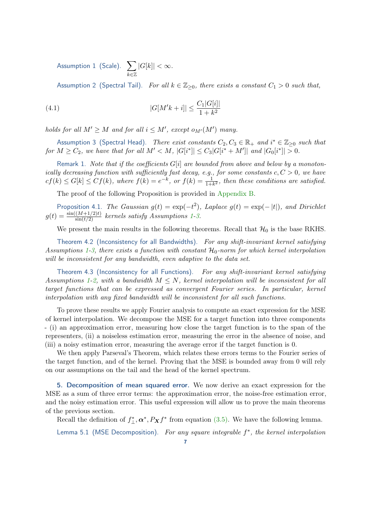Assumption 1 (Scale).  $\sum$ k∈Z  $|G[k]| < \infty$ .

<span id="page-6-1"></span>Assumption 2 (Spectral Tail). For all  $k \in \mathbb{Z}_{\geq 0}$ , there exists a constant  $C_1 > 0$  such that,

(4.1) 
$$
|G[M'k+i]| \le \frac{C_1|G[i]|}{1+k^2}
$$

holds for all  $M' \geq M$  and for all  $i \leq M'$ , except  $o_{M'}(M')$  many.

<span id="page-6-0"></span>Assumption 3 (Spectral Head). There exist constants  $C_2, C_3 \in \mathbb{R}_+$  and  $i^* \in \mathbb{Z}_{\geq 0}$  such that for  $M \ge C_2$ , we have that for all  $M' < M$ ,  $|G[i^*]| \le C_3|G[i^* + M']|$  and  $|G_0[i^*]| > 0$ .

Remark 1. Note that if the coefficients  $G[i]$  are bounded from above and below by a monotonically decreasing function with sufficiently fast decay, e.g., for some constants  $c, C > 0$ , we have  $cf(k) \leq G[k] \leq Cf(k)$ , where  $f(k) = e^{-k}$ , or  $f(k) = \frac{1}{1+k^2}$ , then these conditions are satisfied.

<span id="page-6-4"></span>The proof of the following Proposition is provided in [Appendix B.](#page-12-0)

Proposition 4.1. The Gaussian  $g(t) = \exp(-t^2)$ , Laplace  $g(t) = \exp(-|t|)$ , and Dirichlet  $g(t) = \frac{\sin((M+1/2)t)}{\sin(t/2)}$  kernels satisfy Assumptions [1-](#page-5-1)[3.](#page-6-0)

We present the main results in the following theorems. Recall that  $\mathcal{H}_0$  is the base RKHS.

<span id="page-6-2"></span>Theorem 4.2 (Inconsistency for all Bandwidths). For any shift-invariant kernel satisfying Assumptions [1-](#page-5-1)[3,](#page-6-0) there exists a function with constant  $\mathcal{H}_0$ -norm for which kernel interpolation will be inconsistent for any bandwidth, even adaptive to the data set.

<span id="page-6-3"></span>Theorem 4.3 (Inconsistency for all Functions). For any shift-invariant kernel satisfying Assumptions [1](#page-5-1)[-2,](#page-6-1) with a bandwidth  $M \leq N$ , kernel interpolation will be inconsistent for all target functions that can be expressed as convergent Fourier series. In particular, kernel interpolation with any fixed bandwidth will be inconsistent for all such functions.

To prove these results we apply Fourier analysis to compute an exact expression for the MSE of kernel interpolation. We decompose the MSE for a target function into three components - (i) an approximation error, measuring how close the target function is to the span of the representers, (ii) a noiseless estimation error, measuring the error in the absence of noise, and (iii) a noisy estimation error, measuring the average error if the target function is 0.

We then apply Parseval's Theorem, which relates these errors terms to the Fourier series of the target function, and of the kernel. Proving that the MSE is bounded away from 0 will rely on our assumptions on the tail and the head of the kernel spectrum.

5. Decomposition of mean squared error. We now derive an exact expression for the MSE as a sum of three error terms: the approximation error, the noise-free estimation error, and the noisy estimation error. This useful expression will allow us to prove the main theorems of the previous section.

<span id="page-6-5"></span>Recall the definition of  $f^*_{\perp}, \alpha^*, P_{\mathbf{X}} f^*$  from equation [\(3.5\).](#page-5-2) We have the following lemma.

Lemma 5.1 (MSE Decomposition). For any square integrable  $f^*$ , the kernel interpolation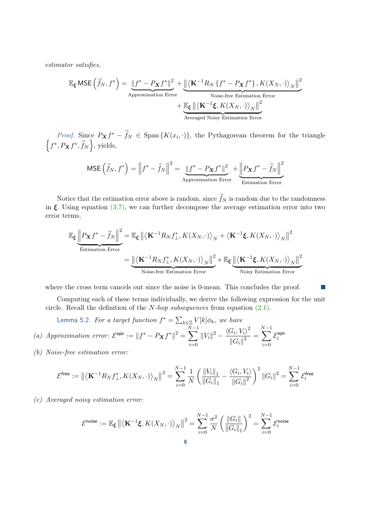estimator satisfies,

$$
\mathbb{E}_{\xi} \text{ MSE}\left(\hat{f}_N, f^*\right) = \underbrace{\left\|f^* - P_{\mathbf{X}}f^*\right\|^2}_{\text{Approximation Error}} + \underbrace{\left\|\left\langle \mathbf{K}^{-1}R_N\left\{f^* - P_{\mathbf{X}}f^*\right\}, K(X_N, \cdot)\right\rangle_N\right\|^2}_{\text{Noise-free Estimation Error}} + \underbrace{\mathbb{E}_{\xi} \left\|\left\langle \mathbf{K}^{-1}\xi, K(X_N, \cdot)\right\rangle_N\right\|^2}_{\text{Average Noisy Estimation Error}}
$$

*Proof.* Since  $P_{\mathbf{X}}f^* - \widehat{f}_N \in \text{Span} \{K(x_i, \cdot)\},\$  the Pythagorean theorem for the triangle  $\left\{f^*, P_{\boldsymbol{X}}f^*, \hat{f}_N\right\}$ , yields,

$$
\text{MSE}\left(\hat{f}_N, f^*\right) = \left\|f^* - \hat{f}_N\right\|^2 = \underbrace{\left\|f^* - P_{\mathbf{X}}f^*\right\|^2}_{\text{Approximation Error}} + \underbrace{\left\|P_{\mathbf{X}}f^* - \hat{f}_N\right\|^2}_{\text{Estimation Error}}
$$

Notice that the estimation error above is random, since  $\widehat{f}_N$  is random due to the randomness in  $\xi$ . Using equation [\(3.7\),](#page-5-3) we can further decompose the average estimation error into two error terms,

<span id="page-7-0"></span>
$$
\mathbb{E}_{\xi} \underbrace{\left\| P_{\mathbf{X}} f^* - \widehat{f}_N \right\|^2}_{\text{Estimation Error}} = \underbrace{\left\| \left\langle \mathbf{K}^{-1} R_N f^*_\perp, K(X_N, \cdot) \right\rangle_N + \left\langle \mathbf{K}^{-1} \xi, K(X_N, \cdot) \right\rangle_N \right\|^2}_{\text{Noise-free Estimation Error}} + \underbrace{\left\| \left\langle \mathbf{K}^{-1} \xi, K(X_N, \cdot) \right\rangle_N \right\|^2}_{\text{Noisy Estimation Error}}
$$

where the cross term cancels out since the noise is 0-mean. This concludes the proof.

Computing each of these terms individually, we derive the following expression for the unit circle. Recall the definition of the N-hop subsequences from equation  $(2.1)$ .

<span id="page-7-1"></span>Lemma 5.2. For a target function  $f^* = \sum_{k \in \mathbb{Z}} V[k] \phi_k$ , we have (a) Approximation error:  $\mathcal{E}^{\text{apx}} := ||f^* - P_{\mathbf{X}}f^*||^2 =$  $\sum^{N-1}$  $i=0$  $||V_i||^2 - \frac{\langle G_i, V_i \rangle^2}{||G||^2}$  $\frac{c_{i}^{(i)}, i_{i}^{(i)}}{\left\|G_{i}\right\|^{2}} =$  $\sum^{N-1}$  $i=0$  $\mathcal{E}_i^{\mathsf{apx}}$ i

<span id="page-7-2"></span>(b) Noise-free estimation error:

$$
\mathcal{E}^{\text{free}}:=\left\|\left\langle\mathbf{K}^{-1}R_Nf^*_{\perp},K(X_N,\cdot)\right\rangle_N\right\|^2=\sum_{i=0}^{N-1}\frac{1}{N}\left(\frac{\|V_i\|_1}{\|G_i\|_1}-\frac{\langle G_i,V_i\rangle}{\|G_i\|^2}\right)^2\|G_i\|^2=\sum_{i=0}^{N-1}\mathcal{E}^{\text{free}}_i
$$

<span id="page-7-3"></span>(c) Averaged noisy estimation error:

$$
\mathcal{E}^{\text{noise}} := \mathbb{E}_{\pmb{\xi}} \left\|\left\langle \mathbf{K}^{-1}\pmb{\xi}, K(X_N, \cdot)\right\rangle_N\right\|^2 = \sum_{i=0}^{N-1} \frac{\sigma^2}{N} \left(\frac{\|G_i\|}{\|G_i\|_1}\right)^2 = \sum_{i=0}^{N-1} \mathcal{E}_i^{\text{noise}}
$$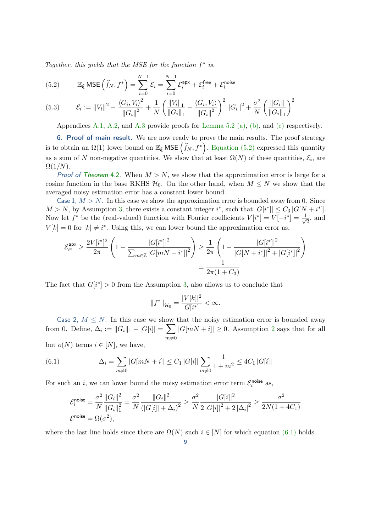Together, this yields that the MSE for the function  $f^*$  is,

<span id="page-8-0"></span>(5.2) 
$$
\mathbb{E}_{\xi} \text{MSE}\left(\hat{f}_N, f^*\right) = \sum_{i=0}^{N-1} \mathcal{E}_i = \sum_{i=0}^{N-1} \mathcal{E}_i^{\text{apx}} + \mathcal{E}_i^{\text{free}} + \mathcal{E}_i^{\text{noise}}
$$

$$
(5.3) \qquad \mathcal{E}_i := \|V_i\|^2 - \frac{\langle G_i, V_i \rangle^2}{\|G_i\|^2} + \frac{1}{N} \left( \frac{\|V_i\|_1}{\|G_i\|_1} - \frac{\langle G_i, V_i \rangle}{\|G_i\|^2} \right)^2 \|G_i\|^2 + \frac{\sigma^2}{N} \left( \frac{\|G_i\|_1}{\|G_i\|_1} \right)^2
$$

Appendices [A.1,](#page-10-12) [A.2,](#page-11-0) and [A.3](#page-12-1) provide proofs for [Lemma 5.2](#page-7-0) [\(a\),](#page-7-1) [\(b\),](#page-7-2) and [\(c\)](#page-7-3) respectively.

6. Proof of main result. We are now ready to prove the main results. The proof strategy is to obtain an  $\Omega(1)$  lower bound on  $\mathbb{E}_{\xi}$  MSE  $(\widehat{f}_N, f^*)$ . [Equation \(5.2\)](#page-8-0) expressed this quantity as a sum of N non-negative quantities. We show that at least  $\Omega(N)$  of these quantities,  $\mathcal{E}_i$ , are  $\Omega(1/N)$ .

*Proof of [Theorem](#page-6-2) 4.2.* When  $M > N$ , we show that the approximation error is large for a cosine function in the base RKHS  $\mathcal{H}_0$ . On the other hand, when  $M \leq N$  we show that the averaged noisy estimation error has a constant lower bound.

Case 1,  $M > N$ . In this case we show the approximation error is bounded away from 0. Since  $M > N$ , by Assumption [3,](#page-6-0) there exists a constant integer i<sup>\*</sup>, such that  $|G[i^*]| \leq C_3 |G[N + i^*]|$ . Now let f<sup>\*</sup> be the (real-valued) function with Fourier coefficients  $V[i^*] = V[-i^*] = \frac{1}{\sqrt{2}}$  $\frac{1}{2}$ , and  $V[k] = 0$  for  $|k| \neq i^*$ . Using this, we can lower bound the approximation error as,

$$
\mathcal{E}_{i^*}^{\text{apx}} \ge \frac{2V[i^*]^2}{2\pi} \left( 1 - \frac{|G[i^*]|^2}{\sum_{m \in \mathbb{Z}} |G[mN + i^*]|^2} \right) \ge \frac{1}{2\pi} \left( 1 - \frac{|G[i^*]|^2}{|G[N + i^*]|^2 + |G[i^*]|^2} \right)
$$

$$
= \frac{1}{2\pi(1 + C_3)}
$$

The fact that  $G[i^*] > 0$  from the Assumption [3,](#page-6-0) also allows us to conclude that

$$
||f^*||_{\mathcal{H}_0} = \frac{|V[k]|^2}{G[i^*]} < \infty.
$$

Case 2,  $M \leq N$ . In this case we show that the noisy estimation error is bounded away from 0. Define,  $\Delta_i := ||G_i||_1 - |G[i]| = \sum_i$  $m\not=0$  $|G[mN+i]| \geq 0$ . Assumption [2](#page-6-1) says that for all but  $o(N)$  terms  $i \in [N]$ , we have,

<span id="page-8-1"></span>(6.1) 
$$
\Delta_i = \sum_{m \neq 0} |G[mN + i]| \leq C_1 |G[i]| \sum_{m \neq 0} \frac{1}{1 + m^2} \leq 4C_1 |G[i]|
$$

For such an *i*, we can lower bound the noisy estimation error term  $\mathcal{E}_i^{\text{noise}}$  as,

$$
\begin{aligned} \mathcal{E}_i^{\text{noise}} &= \frac{\sigma^2}{N} \frac{\|G_i\|^2}{\|G_i\|_1^2} = \frac{\sigma^2}{N} \frac{\|G_i\|^2}{\left(|G[i]| + \Delta_i\right)^2} \ge \frac{\sigma^2}{N} \frac{|G[i]|^2}{2\left|G[i]\right|^2 + 2\left|\Delta_i\right|^2} \ge \frac{\sigma^2}{2N(1 + 4C_1)}\\ \mathcal{E}^{\text{noise}} &= \Omega(\sigma^2), \end{aligned}
$$

where the last line holds since there are  $\Omega(N)$  such  $i \in [N]$  for which equation [\(6.1\)](#page-8-1) holds.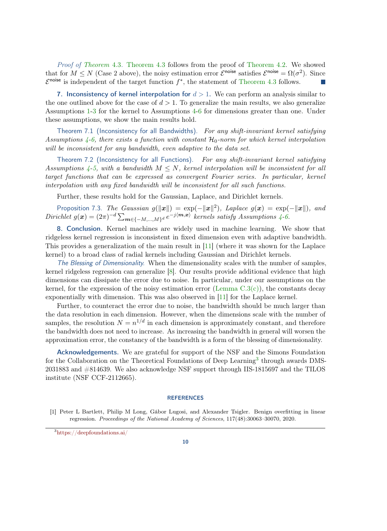Proof of [Theorem](#page-6-3) 4.3. [Theorem 4.3](#page-6-3) follows from the proof of [Theorem 4.2.](#page-6-2) We showed that for  $M \le N$  (Case 2 above), the noisy estimation error  $\mathcal{E}^{\text{noise}}$  satisfies  $\mathcal{E}^{\text{noise}} = \Omega(\sigma^2)$ . Since  $\mathcal{E}^{\text{noise}}$  is independent of the target function  $f^*$ , the statement of [Theorem 4.3](#page-6-3) follows.

7. Inconsistency of kernel interpolation for  $d > 1$ . We can perform an analysis similar to the one outlined above for the case of  $d > 1$ . To generalize the main results, we also generalize Assumptions [1-](#page-5-1)[3](#page-6-0) for the kernel to Assumptions [4-](#page-17-0)[6](#page-17-1) for dimensions greater than one. Under these assumptions, we show the main results hold.

<span id="page-9-1"></span>Theorem 7.1 (Inconsistency for all Bandwidths). For any shift-invariant kernel satisfying Assumptions [4-](#page-17-0)[6,](#page-17-1) there exists a function with constant  $\mathcal{H}_0$ -norm for which kernel interpolation will be inconsistent for any bandwidth, even adaptive to the data set.

<span id="page-9-2"></span>Theorem 7.2 (Inconsistency for all Functions). For any shift-invariant kernel satisfying Assumptions  $4-5$  $4-5$ , with a bandwidth  $M \leq N$ , kernel interpolation will be inconsistent for all target functions that can be expressed as convergent Fourier series. In particular, kernel interpolation with any fixed bandwidth will be inconsistent for all such functions.

Further, these results hold for the Gaussian, Laplace, and Dirichlet kernels.

<span id="page-9-3"></span>Proposition 7.3. The Gaussian  $g(\|\boldsymbol{x}\|) = \exp(-\|\boldsymbol{x}\|^2)$ , Laplace  $g(\boldsymbol{x}) = \exp(-\|\boldsymbol{x}\|)$ , and Dirichlet  $g(x) = (2\pi)^{-d} \sum_{m \in \{-M, ..., M\}^d} e^{-j\langle m, x \rangle}$  kernels satisfy Assumptions [4-](#page-17-0)[6.](#page-17-1)

8. Conclusion. Kernel machines are widely used in machine learning. We show that ridgeless kernel regression is inconsistent in fixed dimension even with adaptive bandwidth. This provides a generalization of the main result in [\[11\]](#page-10-9) (where it was shown for the Laplace kernel) to a broad class of radial kernels including Gaussian and Dirichlet kernels.

The Blessing of Dimensionality. When the dimensionality scales with the number of samples, kernel ridgeless regression can generalize [\[8\]](#page-10-8). Our results provide additional evidence that high dimensions can dissipate the error due to noise. In particular, under our assumptions on the kernel, for the expression of the noisy estimation error (Lemma  $C.3(c)$ ), the constants decay exponentially with dimension. This was also observed in [\[11\]](#page-10-9) for the Laplace kernel.

Further, to counteract the error due to noise, the bandwidth should be much larger than the data resolution in each dimension. However, when the dimensions scale with the number of samples, the resolution  $N = n^{1/d}$  in each dimension is approximately constant, and therefore the bandwidth does not need to increase. As increasing the bandwidth in general will worsen the approximation error, the constancy of the bandwidth is a form of the blessing of dimensionality.

Acknowledgements. We are grateful for support of the NSF and the Simons Foundation for the Collaboration on the Theoretical Foundations of Deep Learning<sup>[3](#page-0-0)</sup> through awards DMS-2031883 and #814639. We also acknowledge NSF support through IIS-1815697 and the TILOS institute (NSF CCF-2112665).

#### **REFERENCES**

<sup>3</sup><https://deepfoundations.ai/>

<span id="page-9-0"></span><sup>[1]</sup> Peter L Bartlett, Philip M Long, Gábor Lugosi, and Alexander Tsigler. Benign overfitting in linear regression. Proceedings of the National Academy of Sciences, 117(48):30063–30070, 2020.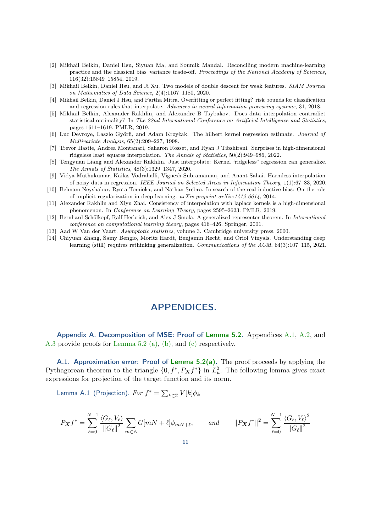- <span id="page-10-0"></span>[2] Mikhail Belkin, Daniel Hsu, Siyuan Ma, and Soumik Mandal. Reconciling modern machine-learning practice and the classical bias–variance trade-off. Proceedings of the National Academy of Sciences, 116(32):15849–15854, 2019.
- <span id="page-10-3"></span>[3] Mikhail Belkin, Daniel Hsu, and Ji Xu. Two models of double descent for weak features. SIAM Journal on Mathematics of Data Science, 2(4):1167–1180, 2020.
- <span id="page-10-6"></span>[4] Mikhail Belkin, Daniel J Hsu, and Partha Mitra. Overfitting or perfect fitting? risk bounds for classification and regression rules that interpolate. Advances in neural information processing systems, 31, 2018.
- [5] Mikhail Belkin, Alexander Rakhlin, and Alexandre B Tsybakov. Does data interpolation contradict statistical optimality? In The 22nd International Conference on Artificial Intelligence and Statistics, pages 1611–1619. PMLR, 2019.
- <span id="page-10-7"></span>[6] Luc Devroye, Laszlo Györfi, and Adam Krzyżak. The hilbert kernel regression estimate. Journal of Multivariate Analysis, 65(2):209–227, 1998.
- <span id="page-10-4"></span>[7] Trevor Hastie, Andrea Montanari, Saharon Rosset, and Ryan J Tibshirani. Surprises in high-dimensional ridgeless least squares interpolation. The Annals of Statistics, 50(2):949–986, 2022.
- <span id="page-10-8"></span>[8] Tengyuan Liang and Alexander Rakhlin. Just interpolate: Kernel "ridgeless" regression can generalize. The Annals of Statistics, 48(3):1329–1347, 2020.
- <span id="page-10-5"></span>[9] Vidya Muthukumar, Kailas Vodrahalli, Vignesh Subramanian, and Anant Sahai. Harmless interpolation of noisy data in regression. IEEE Journal on Selected Areas in Information Theory, 1(1):67–83, 2020.
- <span id="page-10-1"></span>[10] Behnam Neyshabur, Ryota Tomioka, and Nathan Srebro. In search of the real inductive bias: On the role of implicit regularization in deep learning. arXiv preprint arXiv:1412.6614, 2014.
- <span id="page-10-9"></span>[11] Alexander Rakhlin and Xiyu Zhai. Consistency of interpolation with laplace kernels is a high-dimensional phenomenon. In Conference on Learning Theory, pages 2595–2623. PMLR, 2019.
- <span id="page-10-11"></span>[12] Bernhard Schölkopf, Ralf Herbrich, and Alex J Smola. A generalized representer theorem. In International conference on computational learning theory, pages 416–426. Springer, 2001.
- <span id="page-10-10"></span>[13] Aad W Van der Vaart. Asymptotic statistics, volume 3. Cambridge university press, 2000.
- <span id="page-10-2"></span>[14] Chiyuan Zhang, Samy Bengio, Moritz Hardt, Benjamin Recht, and Oriol Vinyals. Understanding deep learning (still) requires rethinking generalization. Communications of the ACM, 64(3):107–115, 2021.

## APPENDICES.

Appendix A. Decomposition of MSE: Proof of [Lemma 5.2.](#page-7-0) Appendices [A.1,](#page-10-12) [A.2,](#page-11-0) and [A.3](#page-12-1) provide proofs for [Lemma 5.2](#page-7-0) [\(a\),](#page-7-1) [\(b\),](#page-7-2) and [\(c\)](#page-7-3) respectively.

<span id="page-10-12"></span>A.1. Approximation error: Proof of [Lemma 5.2](#page-7-0)[\(a\).](#page-7-1) The proof proceeds by applying the Pythagorean theorem to the triangle  $\{0, f^*, P_{\mathbf{X}} f^*\}\$  in  $L^2_{\mu}$ . The following lemma gives exact expressions for projection of the target function and its norm.

<span id="page-10-13"></span>Lemma A.1 (Projection). For  $f^* = \sum_{k \in \mathbb{Z}} V[k] \phi_k$ 

$$
P_{\mathbf{X}}f^* = \sum_{\ell=0}^{N-1} \frac{\langle G_{\ell}, V_{\ell} \rangle}{\|G_{\ell}\|^2} \sum_{m \in \mathbb{Z}} G[mN + \ell] \phi_{mN + \ell}, \quad and \quad \|P_{\mathbf{X}}f^*\|^2 = \sum_{\ell=0}^{N-1} \frac{\langle G_{\ell}, V_{\ell} \rangle^2}{\|G_{\ell}\|^2}
$$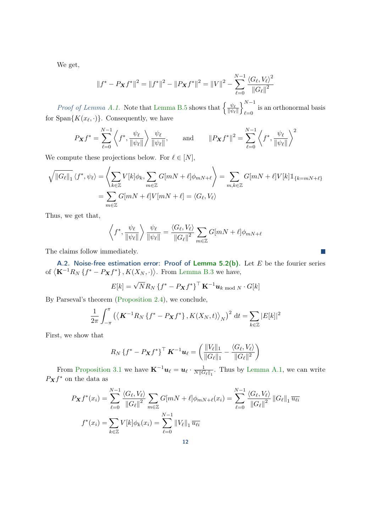We get,

$$
||f^* - P_{\mathbf{X}}f^*||^2 = ||f^*||^2 - ||P_{\mathbf{X}}f^*||^2 = ||V||^2 - \sum_{\ell=0}^{N-1} \frac{\langle G_{\ell}, V_{\ell} \rangle^2}{||G_{\ell}||^2}
$$

*Proof of Lemma [A.1.](#page-10-13)* Note that [Lemma B.5](#page-14-1) shows that  $\begin{cases} \frac{\psi_{\ell}}{\|\psi_{\ell}\|_{\ell}} \end{cases}$  $\|\psi_\ell\|$  $\lambda^{N-1}$  $\ell=0$  is an orthonormal basis for  $\text{Span}\{K(x_{\ell},\cdot)\}\$ . Consequently, we have

$$
P_{\boldsymbol{X}}f^* = \sum_{\ell=0}^{N-1} \left\langle f^*, \frac{\psi_{\ell}}{\|\psi_{\ell}\|}\right\rangle \frac{\psi_{\ell}}{\|\psi_{\ell}\|}, \quad \text{and} \quad \|P_{\boldsymbol{X}}f^*\|^2 = \sum_{\ell=0}^{N-1} \left\langle f^*, \frac{\psi_{\ell}}{\|\psi_{\ell}\|}\right\rangle^2
$$

We compute these projections below. For  $\ell \in [N]$ ,

$$
\sqrt{\|G_{\ell}\|_1} \langle f^*, \psi_{\ell} \rangle = \left\langle \sum_{k \in \mathbb{Z}} V[k] \phi_k, \sum_{m \in \mathbb{Z}} G[mN + \ell] \phi_{mN + \ell} \right\rangle = \sum_{m, k \in \mathbb{Z}} G[mN + \ell] V[k] 1\!\!1_{\{k = mN + \ell\}}
$$

$$
= \sum_{m \in \mathbb{Z}} G[mN + \ell] V[mN + \ell] = \langle G_{\ell}, V_{\ell} \rangle
$$

Thus, we get that,

$$
\left\langle f^*, \frac{\psi_\ell}{\|\psi_\ell\|} \right\rangle \frac{\psi_\ell}{\|\psi_\ell\|} = \frac{\langle G_\ell, V_\ell \rangle}{\|G_\ell\|^2} \sum_{m \in \mathbb{Z}} G[mN + \ell] \phi_{mN + \ell}
$$

The claims follow immediately.

<span id="page-11-0"></span>A.2. Noise-free estimation error: Proof of [Lemma 5.2](#page-7-0)[\(b\).](#page-7-2) Let  $E$  be the fourier series of  $\langle \mathbf{K}^{-1}R_N\left\{f^* - P_{\mathbf{X}}f^*\right\}, K(X_N, \cdot)\rangle$ . From [Lemma B.3](#page-13-0) we have,

**I** 

$$
E[k] = \sqrt{N}R_N\left\{f^* - P_{\boldsymbol{X}}f^*\right\}^\top \mathbf{K}^{-1} \boldsymbol{u}_{k \bmod N} \cdot G[k]
$$

By Parseval's theorem [\(Proposition 2.4\)](#page-3-0), we conclude,

$$
\frac{1}{2\pi} \int_{-\pi}^{\pi} \left( \left\langle \mathbf{K}^{-1} R_N \left\{ f^* - P_{\mathbf{X}} f^* \right\}, K(X_N, t) \right\rangle_N \right)^2 dt = \sum_{k \in \mathbb{Z}} |E[k]|^2
$$

First, we show that

$$
R_N\left\{f^* - P_{\boldsymbol{X}}f^*\right\}^\top \boldsymbol{K}^{-1} \boldsymbol{u}_\ell = \left(\frac{\|V_\ell\|_1}{\|G_\ell\|_1} - \frac{\langle G_\ell, V_\ell \rangle}{\|G_\ell\|^2}\right)
$$

From [Proposition 3.1](#page-4-1) we have  $\mathbf{K}^{-1} \boldsymbol{u}_{\ell} = \boldsymbol{u}_{\ell} \cdot \frac{1}{N \parallel G}$  $\frac{1}{N\|\widetilde{G_\ell}\|_1}$ . Thus by [Lemma A.1,](#page-10-13) we can write  $P_{\mathbf{X}}f^*$  on the data as

$$
P_{\mathbf{X}} f^*(x_i) = \sum_{\ell=0}^{N-1} \frac{\langle G_{\ell}, V_{\ell} \rangle}{\|G_{\ell}\|^2} \sum_{m \in \mathbb{Z}} G[mN + \ell] \phi_{mN+\ell}(x_i) = \sum_{\ell=0}^{N-1} \frac{\langle G_{\ell}, V_{\ell} \rangle}{\|G_{\ell}\|^2} \|G_{\ell}\|_1 \overline{u_{\ell i}}
$$

$$
f^*(x_i) = \sum_{k \in \mathbb{Z}} V[k] \phi_k(x_i) = \sum_{\ell=0}^{N-1} \|V_{\ell}\|_1 \overline{u_{\ell i}}
$$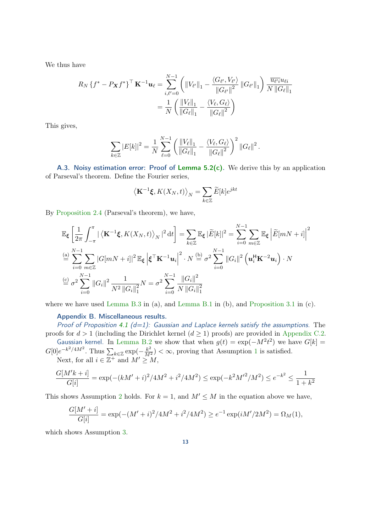We thus have

$$
R_N \left\{ f^* - P_{\mathbf{X}} f^* \right\}^\top \mathbf{K}^{-1} \mathbf{u}_{\ell} = \sum_{i,\ell'=0}^{N-1} \left( \left\| V_{\ell'} \right\|_1 - \frac{\left\langle G_{\ell'}, V_{\ell'} \right\rangle}{\left\| G_{\ell'} \right\|^2} \left\| G_{\ell'} \right\|_1 \right) \frac{\overline{u_{\ell'}}_i u_{\ell i}}{N \left\| G_{\ell} \right\|_1} = \frac{1}{N} \left( \frac{\left\| V_{\ell} \right\|_1}{\left\| G_{\ell} \right\|_1} - \frac{\left\langle V_{\ell}, G_{\ell} \right\rangle}{\left\| G_{\ell} \right\|^2} \right)
$$

This gives,

$$
\sum_{k\in\mathbb{Z}}|E[k]|^2=\frac{1}{N}\sum_{\ell=0}^{N-1}\left(\frac{\|V_{\ell}\|_1}{\|G_{\ell}\|_1}-\frac{\langle V_{\ell},G_{\ell}\rangle}{\|G_{\ell}\|_2}\right)^2\|G_{\ell}\|^2.
$$

<span id="page-12-1"></span>A.3. Noisy estimation error: Proof of Lemma  $5.2(c)$ . We derive this by an application of Parseval's theorem. Define the Fourier series,

$$
\left\langle \mathbf{K}^{-1}\boldsymbol{\xi}, K(X_N,t)\right\rangle_N = \sum_{k\in\mathbb{Z}} \widetilde{E}[k]e^{jkt}
$$

By [Proposition 2.4](#page-3-0) (Parseval's theorem), we have,

$$
\mathbb{E}_{\xi} \left[ \frac{1}{2\pi} \int_{-\pi}^{\pi} |\langle \mathbf{K}^{-1}\xi, K(X_N, t) \rangle_N|^2 dt \right] = \sum_{k \in \mathbb{Z}} \mathbb{E}_{\xi} |\widetilde{E}[k]|^2 = \sum_{i=0}^{N-1} \sum_{m \in \mathbb{Z}} \mathbb{E}_{\xi} |\widetilde{E}[mN+i]|^2
$$
  
\n
$$
\stackrel{\text{(a)}}{=} \sum_{i=0}^{N-1} \sum_{m \in \mathbb{Z}} |G[mN+i]|^2 \mathbb{E}_{\xi} |\xi \mathbf{K}^{-1}\mathbf{u}_i|^2 \cdot N \stackrel{\text{(b)}}{=} \sigma^2 \sum_{i=0}^{N-1} ||G_i||^2 \left( \mathbf{u}_i^{\mathsf{H}} \mathbf{K}^{-2} \mathbf{u}_i \right) \cdot N
$$
  
\n
$$
\stackrel{\text{(c)}}{=} \sigma^2 \sum_{i=0}^{N-1} ||G_i||^2 \frac{1}{N^2 ||G_i||_1^2} N = \sigma^2 \sum_{i=0}^{N-1} \frac{||G_i||^2}{N ||G_i||_1^2}
$$

where we have used [Lemma B.3](#page-13-0) in (a), and [Lemma B.1](#page-13-1) in (b), and [Proposition 3.1](#page-4-1) in (c).

#### Appendix B. Miscellaneous results.

<span id="page-12-0"></span>Proof of Proposition [4.1](#page-6-4)  $(d=1)$ : Gaussian and Laplace kernels satisfy the assumptions. The proofs for  $d > 1$  (including the Dirichlet kernel  $(d \ge 1)$  proofs) are provided in [Appendix C.2.](#page-18-0)

Gaussian kernel. In [Lemma B.2](#page-13-2) we show that when  $g(t) = \exp(-M^2t^2)$  we have  $G[k] =$  $G[0]e^{-k^2/4M^2}$ . Thus  $\sum_{k\in\mathbb{Z}} \exp(-\frac{k^2}{M^2}) < \infty$ , proving that Assumption [1](#page-5-1) is satisfied.

Next, for all  $i \in \overline{\mathbb{Z}^+}$  and  $M' \geq M$ ,

$$
\frac{G[M'k+i]}{G[i]} = \exp(-(kM'+i)^2/4M^2 + i^2/4M^2) \le \exp(-k^2M'^2/M^2) \le e^{-k^2} \le \frac{1}{1+k^2}
$$

This shows Assumption [2](#page-6-1) holds. For  $k = 1$ , and  $M' \leq M$  in the equation above we have,

$$
\frac{G[M'+i]}{G[i]} = \exp(-(M'+i)^2/4M^2 + i^2/4M^2) \ge e^{-1} \exp(iM'/2M^2) = \Omega_M(1),
$$

which shows Assumption [3.](#page-6-0)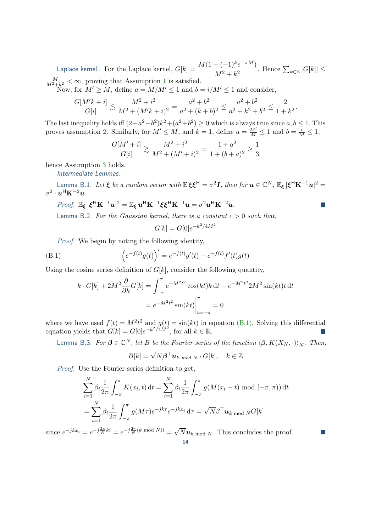Laplace kernel.. For the Laplace kernel,  $G[k] = \frac{M(1 - (-1)^k e^{-\pi M})}{M^2 + 12}$  $\frac{(1+i)(e^{-i\theta})}{M^2+k^2}$ . Hence  $\sum_{k\in\mathbb{Z}}|G[k]| \leq$  $\frac{M}{M^2+k^2} < \infty$ , proving that Assumption [1](#page-5-1) is satisfied.

Now, for  $M' \ge M$ , define  $a = M/M' \le 1$  and  $b = i/M' \le 1$  and consider,

$$
\frac{G[M'k+i]}{G[i]} \lesssim \frac{M^2 + i^2}{M^2 + (M'k+i)^2} = \frac{a^2 + b^2}{a^2 + (k+b)^2} \le \frac{a^2 + b^2}{a^2 + k^2 + b^2} \le \frac{2}{1+k^2}.
$$

The last inequality holds iff  $(2-a^2-b^2)k^2+(a^2+b^2) \ge 0$  which is always true since  $a, b \le 1$ . This proves assumption [2.](#page-6-1) Similarly, for  $M' \leq M$ , and  $k = 1$ , define  $a = \frac{M'}{M} \leq 1$  and  $b = \frac{i}{M} \leq 1$ ,

$$
\frac{G[M'+i]}{G[i]} \gtrsim \frac{M^2 + i^2}{M^2 + (M'+i)^2} = \frac{1 + a^2}{1 + (b+a)^2} \ge \frac{1}{3}
$$

<span id="page-13-1"></span>hence Assumption [3](#page-6-0) holds.

Intermediate Lemmas.

Lemma B.1. Let  $\xi$  be a random vector with  $\mathbb{E} \, \xi \xi^\mathsf{H} = \sigma^2 \bm{I},$  then for  $\bm{u} \in \mathbb{C}^N$ ,  $\mathbb{E}_\xi \, |\xi^\mathsf{H} \mathbf{K}^{-1} \bm{u}|^2 = 0$  $\sigma^2\cdot\bm{u}^{\sf H}{\bf K}^{-2}\bm{u}$ 

 $\mathcal{L}_{\mathcal{A}}$ 

 $\mathcal{C}^{\mathcal{A}}$ 

*Proof.* 
$$
\mathbb{E}_{\xi} |\xi^{\mathsf{H}} \mathbf{K}^{-1} \mathbf{u}|^{2} = \mathbb{E}_{\xi} \mathbf{u}^{\mathsf{H}} \mathbf{K}^{-1} \xi \xi^{\mathsf{H}} \mathbf{K}^{-1} \mathbf{u} = \sigma^{2} \mathbf{u}^{\mathsf{H}} \mathbf{K}^{-2} \mathbf{u}.
$$

<span id="page-13-2"></span>Lemma B.2. For the Gaussian kernel, there is a constant  $c > 0$  such that,

$$
G[k] = G[0]e^{-k^2/4M^2}
$$

Proof. We begin by noting the following identity,

<span id="page-13-3"></span>(B.1) 
$$
\left(e^{-f(t)}g(t)\right)' = e^{-f(t)}g'(t) - e^{-f(t)}f'(t)g(t)
$$

Using the cosine series definition of  $G[k]$ , consider the following quantity,

$$
k \cdot G[k] + 2M^2 \frac{\partial}{\partial k} G[k] = \int_{-\pi}^{\pi} e^{-M^2 t^2} \cos(kt)k \, dt - e^{-M^2 t^2} 2M^2 \sin(kt) t \, dt
$$

$$
= e^{-M^2 t^2} \sin(kt) \Big|_{t=-\pi}^{\pi} = 0
$$

where we have used  $f(t) = M^2 t^2$  and  $g(t) = \sin(kt)$  in equation [\(B.1\).](#page-13-3) Solving this differential equation yields that  $G[k] = G[0]e^{-k^2/\tilde{4}M^2}$ , for all  $k \in \mathbb{R}$ .

<span id="page-13-0"></span>Lemma B.3. For  $\bm{\beta} \in \mathbb{C}^N$ , let B be the Fourier series of the function  $\langle \bm{\beta}, K(X_N, \cdot) \rangle_N$ . Then,

$$
B[k] = \sqrt{N}\boldsymbol{\beta}^{\top}\boldsymbol{u}_{k \mod N} \cdot G[k], \quad k \in \mathbb{Z}
$$

Proof. Use the Fourier series definition to get,

$$
\sum_{i=1}^{N} \beta_i \frac{1}{2\pi} \int_{-\pi}^{\pi} K(x_i, t) dt = \sum_{i=1}^{N} \beta_i \frac{1}{2\pi} \int_{-\pi}^{\pi} g(M(x_i - t) \text{ mod } [-\pi, \pi)) dt
$$
  
= 
$$
\sum_{i=1}^{N} \beta_i \frac{1}{2\pi} \int_{-\pi}^{\pi} g(M\tau) e^{-jk\tau} e^{-jkx_i} d\tau = \sqrt{N} \beta^{\top} \boldsymbol{u}_{k \text{ mod } N} G[k]
$$

since  $e^{-jkx_i} = e^{-j\frac{2\pi}{N}ki} = e^{-j\frac{2\pi}{N}(k \mod N)i} = \sqrt{\frac{2\pi}{N}}$  $Nu_{k \text{ mod } N}$ . This concludes the proof.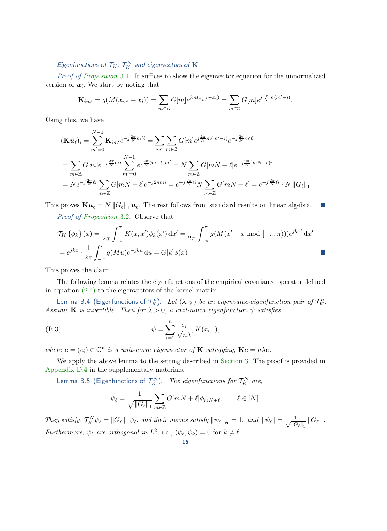# <span id="page-14-0"></span>Eigenfunctions of  $\mathcal{T}_K$ ,  $\mathcal{T}_K^N$  and eigenvectors of  $\mathbf K.$

Proof of [Proposition](#page-4-1) 3.1. It suffices to show the eigenvector equation for the unnormalized version of  $u_\ell$ . We start by noting that

$$
\mathbf{K}_{im'} = g(M(x_{m'} - x_i)) = \sum_{m \in \mathbb{Z}} G[m] e^{jm(x_{m'} - x_i)} = \sum_{m \in \mathbb{Z}} G[m] e^{j\frac{2\pi}{N}m(m' - i)}.
$$

Using this, we have

$$
(\mathbf{K} \mathbf{u}_{\ell})_{i} = \sum_{m'=0}^{N-1} \mathbf{K}_{im'} e^{-j\frac{2\pi}{N}m'\ell} = \sum_{m'} \sum_{m \in \mathbb{Z}} G[m] e^{j\frac{2\pi}{N}m(m'-i)} e^{-j\frac{2\pi}{N}m'\ell}
$$
  
= 
$$
\sum_{m \in \mathbb{Z}} G[m] e^{-j\frac{2\pi}{N}mi} \sum_{m'=0}^{N-1} e^{j\frac{2\pi}{N}(m-\ell)m'} = N \sum_{m \in \mathbb{Z}} G[mN+\ell] e^{-j\frac{2\pi}{N}(mN+\ell)i}
$$
  
= 
$$
N e^{-j\frac{2\pi}{N}\ell i} \sum_{m \in \mathbb{Z}} G[mN+\ell] e^{-j2\pi mi} = e^{-j\frac{2\pi}{N}\ell i} N \sum_{m \in \mathbb{Z}} G[mN+\ell] = e^{-j\frac{2\pi}{N}\ell i} \cdot N ||G_{\ell}||_{1}
$$

This proves  $\mathbf{K} \mathbf{u}_{\ell} = N ||G_{\ell}||_1 \mathbf{u}_{\ell}$ . The rest follows from standard results on linear algebra.  $\mathcal{C}^{\mathcal{A}}$ 

Proof of [Proposition](#page-4-2) 3.2. Observe that

$$
\mathcal{T}_{K} \{\phi_{k}\}(x) = \frac{1}{2\pi} \int_{-\pi}^{\pi} K(x, x') \phi_{k}(x') dx' = \frac{1}{2\pi} \int_{-\pi}^{\pi} g(M(x' - x \mod [-\pi, \pi))) e^{j k x'} dx'
$$
  
=  $e^{j k x} \cdot \frac{1}{2\pi} \int_{-\pi}^{\pi} g(M u) e^{-j k u} du = G[k] \phi(x)$ 

This proves the claim.

The following lemma relates the eigenfunctions of the empirical covariance operator defined in equation  $(2.4)$  to the eigenvectors of the kernel matrix.

Lemma B.4 (Eigenfunctions of  $\mathcal{T}_K^n$ ). Let  $(\lambda, \psi)$  be an eigenvalue-eigenfunction pair of  $\mathcal{T}_K^n$ . Assume K is invertible. Then for  $\lambda > 0$ , a unit-norm eigenfunction  $\psi$  satisfies,

(B.3) 
$$
\psi = \sum_{i=1}^{n} \frac{e_i}{\sqrt{n\lambda}}, K(x_i, \cdot),
$$

where  $e = (e_i) \in \mathbb{C}^n$  is a unit-norm eigenvector of **K** satisfying, **Ke** = n $\lambda e$ .

We apply the above lemma to the setting described in [Section 3.](#page-3-1) The proof is provided in [Appendix D.4](#page-23-0) in the supplementary materials.

Lemma B.5 (Eigenfunctions of  $\mathcal{T}^N_K$ ). The eigenfunctions for  $\mathcal{T}^N_K$  are,

<span id="page-14-2"></span><span id="page-14-1"></span>
$$
\psi_{\ell} = \frac{1}{\sqrt{||G_{\ell}||_1}} \sum_{m \in \mathbb{Z}} G[mN + \ell] \phi_{mN + \ell}, \qquad \ell \in [N].
$$

They satisfy,  $\mathcal{T}_K^N \psi_\ell = ||G_\ell||_1 \psi_\ell$ , and their norms satisfy  $||\psi_\ell||_{\mathcal{H}} = 1$ , and  $||\psi_\ell|| = \frac{1}{\sqrt{||G||}}$  $\frac{1}{\left\|G_\ell\right\|_1}\left\|G_\ell\right\|.$ Furthermore,  $\psi_{\ell}$  are orthogonal in  $L^2$ , i.e.,  $\langle \psi_{\ell}, \psi_k \rangle = 0$  for  $k \neq \ell$ .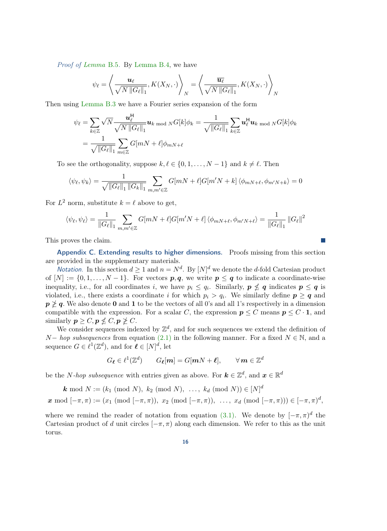Proof of [Lemma](#page-14-1) B.5. By [Lemma B.4,](#page-14-2) we have

$$
\psi_{\ell} = \left\langle \frac{\boldsymbol{u}_{\ell}}{\sqrt{N\left\|G_{\ell}\right\|_1}}, K(X_N, \cdot) \right\rangle_N = \left\langle \frac{\overline{\boldsymbol{u}_{\ell}}}{\sqrt{N\left\|G_{\ell}\right\|_1}}, K(X_N, \cdot) \right\rangle_N
$$

Then using [Lemma B.3](#page-13-0) we have a Fourier series expansion of the form

$$
\psi_{\ell} = \sum_{k \in \mathbb{Z}} \sqrt{N} \frac{\boldsymbol{u}_{\ell}^{H}}{\sqrt{N \left\|G_{\ell}\right\|_{1}}} \boldsymbol{u}_{k \text{ mod } N} G[k] \phi_{k} = \frac{1}{\sqrt{\left\|G_{\ell}\right\|_{1}}} \sum_{k \in \mathbb{Z}} \boldsymbol{u}_{\ell}^{H} \boldsymbol{u}_{k \text{ mod } N} G[k] \phi_{k}
$$
\n
$$
= \frac{1}{\sqrt{\left\|G_{\ell}\right\|_{1}}} \sum_{m \in \mathbb{Z}} G[mN + \ell] \phi_{mN + \ell}
$$

To see the orthogonality, suppose  $k, \ell \in \{0, 1, ..., N - 1\}$  and  $k \neq \ell$ . Then

$$
\langle \psi_{\ell}, \psi_{k} \rangle = \frac{1}{\sqrt{\|G_{\ell}\|_{1} \|G_{k}\|_{1}}} \sum_{m,m' \in \mathbb{Z}} G[mN + \ell] G[m'N + k] \langle \phi_{mN + \ell}, \phi_{m'N + k} \rangle = 0
$$

For  $L^2$  norm, substitute  $k = \ell$  above to get,

$$
\langle \psi_{\ell}, \psi_{\ell} \rangle = \frac{1}{\|G_{\ell}\|_1} \sum_{m,m' \in \mathbb{Z}} G[mN + \ell] G[m'N + \ell] \langle \phi_{mN + \ell}, \phi_{m'N + \ell} \rangle = \frac{1}{\|G_{\ell}\|_1} \|G_{\ell}\|^2
$$

This proves the claim.

<span id="page-15-0"></span>Appendix C. Extending results to higher dimensions. Proofs missing from this section are provided in the supplementary materials.

*Notation*. In this section  $d \geq 1$  and  $n = N<sup>d</sup>$ . By  $[N]<sup>d</sup>$  we denote the *d*-fold Cartesian product of  $[N] := \{0, 1, \ldots, N-1\}$ . For vectors  $p, q$ , we write  $p \leq q$  to indicate a coordinate-wise inequality, i.e., for all coordinates i, we have  $p_i \leq q_i$ . Similarly,  $p \nleq q$  indicates  $p \leq q$  is violated, i.e., there exists a coordinate i for which  $p_i > q_i$ . We similarly define  $p \geq q$  and  $p \ngeq q$ . We also denote 0 and 1 to be the vectors of all 0's and all 1's respectively in a dimension compatible with the expression. For a scalar C, the expression  $p \leq C$  means  $p \leq C \cdot 1$ , and similarly  $p \geq C, p \nleq C, p \ngeq C$ .

We consider sequences indexed by  $\mathbb{Z}^d$ , and for such sequences we extend the definition of  $N-hop \;subsequences$  from equation [\(2.1\)](#page-1-1) in the following manner. For a fixed  $N \in \mathbb{N}$ , and a sequence  $G \in \ell^1(\mathbb{Z}^d)$ , and for  $\ell \in [N]^d$ , let

$$
G_{\ell} \in \ell^1(\mathbb{Z}^d) \qquad G_{\ell}[m] = G[mN + \ell], \qquad \forall \, m \in \mathbb{Z}^d
$$

be the *N*-hop subsequence with entries given as above. For  $k \in \mathbb{Z}^d$ , and  $\boldsymbol{x} \in \mathbb{R}^d$ 

**k** mod  $N := (k_1 \pmod{N}, k_2 \pmod{N}, \ldots, k_d \pmod{N}) \in [N]^d$  $\bm{x} \bmod [-\pi, \pi) := (x_1 \pmod{[-\pi, \pi)}, x_2 \pmod{[-\pi, \pi)}, \dots, x_d \pmod{[-\pi, \pi)} \in [-\pi, \pi)^d,$ 

where we remind the reader of notation from equation [\(3.1\).](#page-4-3) We denote by  $[-\pi, \pi]^d$  the Cartesian product of d unit circles  $[-\pi, \pi)$  along each dimension. We refer to this as the unit torus.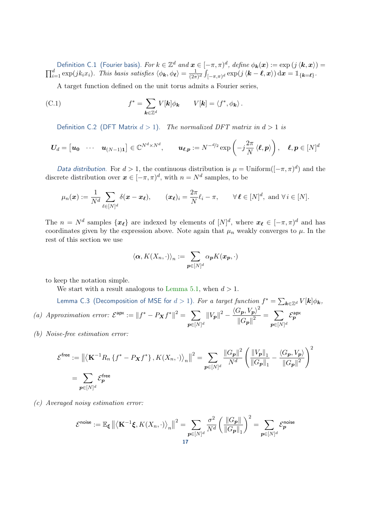Definition C.1 (Fourier basis). For  $k\in\mathbb{Z}^d$  and  $\bm{x}\in[-\pi,\pi)^d$ , define  $\phi_{\bm{k}}(\bm{x}):=\exp{(j\left<\bm{k},\bm{x}\right>)}=0$  $\prod_{i=1}^d \exp(jk_ix_i)$ . This basis satisfies  $\langle \phi_{\bm{k}}, \phi_{\bm{\ell}} \rangle = \frac{1}{(2\pi)^d}$  $\frac{1}{(2\pi)^d} \int_{[-\pi,\pi)^d} \exp(j\left\langle \boldsymbol{k}-\boldsymbol{\ell},\boldsymbol{x}\right\rangle) \,\mathrm{d} \boldsymbol{x} = \mathbb{1}_{\{\boldsymbol{k}=\boldsymbol{\ell}\}}.$ 

A target function defined on the unit torus admits a Fourier series,

(C.1) 
$$
f^* = \sum_{\mathbf{k} \in \mathbb{Z}^d} V[\mathbf{k}] \phi_{\mathbf{k}} \qquad V[\mathbf{k}] = \langle f^*, \phi_{\mathbf{k}} \rangle.
$$

<span id="page-16-4"></span>Definition C.2 (DFT Matrix  $d > 1$ ). The normalized DFT matrix in  $d > 1$  is

$$
\boldsymbol{U}_d = \begin{bmatrix} \boldsymbol{u_0} & \cdots & \boldsymbol{u}_{(N-1)1} \end{bmatrix} \in \mathbb{C}^{N^d \times N^d}, \qquad \boldsymbol{u_{\ell,p}} := N^{-d/2} \exp\left(-j\frac{2\pi}{N} \langle \boldsymbol{\ell}, \boldsymbol{p} \rangle\right), \quad \boldsymbol{\ell}, \boldsymbol{p} \in [N]^d
$$

Data distribution. For  $d > 1$ , the continuous distribution is  $\mu = \text{Uniform}([-\pi, \pi)^d)$  and the discrete distribution over  $\boldsymbol{x} \in [-\pi, \pi)^d$ , with  $n = N^d$  samples, to be

$$
\mu_n(\boldsymbol{x}) := \frac{1}{N^d} \sum_{\ell \in [N]^d} \delta(\boldsymbol{x} - \boldsymbol{x}_{\ell}), \qquad (\boldsymbol{x}_{\ell})_i = \frac{2\pi}{N} \ell_i - \pi, \qquad \forall \ell \in [N]^d, \text{ and } \forall i \in [N].
$$

The  $n = N^d$  samples  $\{x_\ell\}$  are indexed by elements of  $[N]^d$ , where  $x_\ell \in [-\pi, \pi)^d$  and has coordinates given by the expression above. Note again that  $\mu_n$  weakly converges to  $\mu$ . In the rest of this section we use

<span id="page-16-0"></span>
$$
\left<\boldsymbol{\alpha},K(X_n,\cdot)\right>_n:=\sum_{\boldsymbol{p}\in [N]^d}\alpha_{\boldsymbol{p}}K(\boldsymbol{x}_{\boldsymbol{p}},\cdot)
$$

to keep the notation simple.

We start with a result analogous to [Lemma 5.1,](#page-6-5) when  $d > 1$ .

<span id="page-16-2"></span>Lemma C.3 (Decomposition of MSE for  $d > 1$ ). For a target function  $f^* = \sum_{\mathbf{k} \in \mathbb{Z}^d} V[\mathbf{k}] \phi_{\mathbf{k}}$ , (a) Approximation error:  $\mathcal{E}^{\text{apx}} := ||f^* - P_{\mathbf{X}}f^*||^2 = \sum$  $\bm{p} {\in} [N]^d$  $||V_{p}||^{2} = \frac{\langle G_{p}, V_{p} \rangle^{2}}{||G||^{2}}$  $\frac{d \mathbf{p}, \mathbf{v}_{\mathbf{p}}}{\left\|G_{\mathbf{p}}\right\|^2} = \sum_{\mathbf{n} \in \left[ N \right]}$  $\bm{p} {\in} [N]^d$  $\mathcal{E}_{\bm p}^{\mathsf{apx}}$ 

<span id="page-16-3"></span>(b) Noise-free estimation error:

$$
\mathcal{E}^{\text{free}} := \left\| \left\langle \mathbf{K}^{-1} R_n \left\{ f^* - P_{\mathbf{X}} f^* \right\}, K(X_n, \cdot) \right\rangle_n \right\|^2 = \sum_{\mathbf{p} \in [N]^d} \frac{\left\| G_{\mathbf{p}} \right\|^2}{N^d} \left( \frac{\left\| V_{\mathbf{p}} \right\|_1}{\left\| G_{\mathbf{p}} \right\|_1} - \frac{\left\langle G_{\mathbf{p}}, V_{\mathbf{p}} \right\rangle}{\left\| G_{\mathbf{p}} \right\|^2} \right)^2
$$
  
= 
$$
\sum_{\mathbf{p} \in [N]^d} \mathcal{E}_{\mathbf{p}}^{\text{free}}
$$

<span id="page-16-1"></span>(c) Averaged noisy estimation error:

$$
\mathcal{E}^{\text{noise}} := \mathbb{E}_{\xi} \left\| \left\langle \mathbf{K}^{-1} \xi, K(X_n, \cdot) \right\rangle_n \right\|^2 = \sum_{\substack{\boldsymbol{p} \in [N]^d \\ 17}} \frac{\sigma^2}{N^d} \left( \frac{\|G_{\boldsymbol{p}}\|}{\|G_{\boldsymbol{p}}\|_1} \right)^2 = \sum_{\substack{\boldsymbol{p} \in [N]^d}} \mathcal{E}_{\boldsymbol{p}}^{\text{noise}}
$$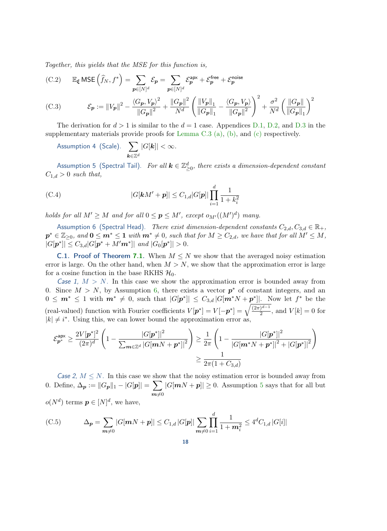Together, this yields that the MSE for this function is,

(C.2) 
$$
\mathbb{E}_{\xi} \text{MSE}\left(\widehat{f}_N, f^*\right) = \sum_{p \in [N]^d} \mathcal{E}_p = \sum_{p \in [N]^d} \mathcal{E}_p^{\text{apx}} + \mathcal{E}_p^{\text{free}} + \mathcal{E}_p^{\text{noise}}
$$

(C.3) 
$$
\mathcal{E}_{\mathbf{p}} := \|V_{\mathbf{p}}\|^2 - \frac{\langle G_{\mathbf{p}}, V_{\mathbf{p}} \rangle^2}{\|G_{\mathbf{p}}\|^2} + \frac{\|G_{\mathbf{p}}\|^2}{N^d} \left( \frac{\|V_{\mathbf{p}}\|_1}{\|G_{\mathbf{p}}\|_1} - \frac{\langle G_{\mathbf{p}}, V_{\mathbf{p}} \rangle}{\|G_{\mathbf{p}}\|^2} \right)^2 + \frac{\sigma^2}{N^d} \left( \frac{\|G_{\mathbf{p}}\|_1}{\|G_{\mathbf{p}}\|_1} \right)^2
$$

The derivation for  $d > 1$  is similar to the  $d = 1$  case. Appendices [D.1,](#page-21-0) [D.2,](#page-22-0) and [D.3](#page-23-1) in the supplementary materials provide proofs for [Lemma C.3](#page-16-0) [\(a\),](#page-16-2) [\(b\),](#page-16-3) and [\(c\)](#page-16-1) respectively.

<span id="page-17-0"></span>Assumption 4 (Scale). 
$$
\sum_{\mathbf{k}\in\mathbb{Z}^d} |G[\mathbf{k}]| < \infty.
$$

<span id="page-17-2"></span>Assumption 5 (Spectral Tail). For all  $\boldsymbol{k}\in\mathbb{Z}_{\geq0}^d,$  there exists a dimension-dependent constant  $C_{1,d} > 0$  such that,

<span id="page-17-4"></span>(C.4) 
$$
|G[\mathbf{k}M' + \mathbf{p}]| \leq C_{1,d}|G[\mathbf{p}]| \prod_{i=1}^{d} \frac{1}{1+k_i^2}
$$

holds for all  $M' \geq M$  and for all  $0 \leq p \leq M'$ , except  $o_{M'}((M')^d)$  many.

<span id="page-17-1"></span>Assumption 6 (Spectral Head). There exist dimension-dependent constants  $C_{2,d}, C_{3,d} \in \mathbb{R}_+$ ,  $\bm{p}^* \in \mathbb{Z}_{\geq 0}, \text{ and } \bm{0} \leq \bm{m}^* \leq \bm{1} \text{ with } \bm{m}^* \neq 0, \text{ such that for } M \geq C_{2,d}, \text{ we have that for all } M' \leq M,$  $|G[\pmb{p}^*]| \leq C_{3,d} |G[\pmb{p}^* + M'\pmb{m}^*]|$  and  $|G_0[\pmb{p}^*]| > 0$ .

**C.1. Proof of Theorem [7.1.](#page-9-1)** When  $M \leq N$  we show that the averaged noisy estimation error is large. On the other hand, when  $M > N$ , we show that the approximation error is large for a cosine function in the base RKHS  $\mathcal{H}_0$ .

Case 1,  $M > N$ . In this case we show the approximation error is bounded away from 0. Since  $M > N$ , by Assumption [6,](#page-17-1) there exists a vector  $p^*$  of constant integers, and an  $0 \leq m^* \leq 1$  with  $m^* \neq 0$ , such that  $|G[p^*]| \leq C_{3,d} |G[m^*N + p^*]|$ . Now let  $f^*$  be the (real-valued) function with Fourier coefficients  $V[\mathbf{p}^*] = V[-\mathbf{p}^*] = \sqrt{\frac{(2\pi)^{d-1}}{2}}$  $\frac{1}{2}$ , and  $V[k] = 0$  for  $|k| \neq i^*$ . Using this, we can lower bound the approximation error as,

$$
\mathcal{E}_{\boldsymbol{p}^*}^{\text{apx}} \ge \frac{2V[\boldsymbol{p}^*]^2}{(2\pi)^d} \left(1 - \frac{|G[\boldsymbol{p}^*]|^2}{\sum_{\boldsymbol{m}\in\mathbb{Z}^d} |G[\boldsymbol{m}N + \boldsymbol{p}^*]|^2}\right) \ge \frac{1}{2\pi} \left(1 - \frac{|G[\boldsymbol{p}^*]|^2}{|G[\boldsymbol{m}^*N + \boldsymbol{p}^*]|^2 + |G[\boldsymbol{p}^*]|^2}\right) \ge \frac{1}{2\pi(1 + C_{3,d})}
$$

Case 2,  $M \leq N$ . In this case we show that the noisy estimation error is bounded away from 0. Define,  $\Delta_{\bf p} := ||G_{\bf p}||_1 - |G[\bf p]| = \sum_{\bf p}$  $m{\neq}0$  $|G[mN + p]| \geq 0$ . Assumption [5](#page-17-2) says that for all but  $o(N^d)$  terms  $p \in [N]^d$ , we have,

<span id="page-17-3"></span>(C.5) 
$$
\Delta_{\mathbf{p}} = \sum_{\mathbf{m}\neq 0} |G[\mathbf{m}N + \mathbf{p}]| \leq C_{1,d} |G[\mathbf{p}]| \sum_{\mathbf{m}\neq 0} \prod_{i=1}^{d} \frac{1}{1 + \mathbf{m}_{i}^{2}} \leq 4^{d} C_{1,d} |G[i]|
$$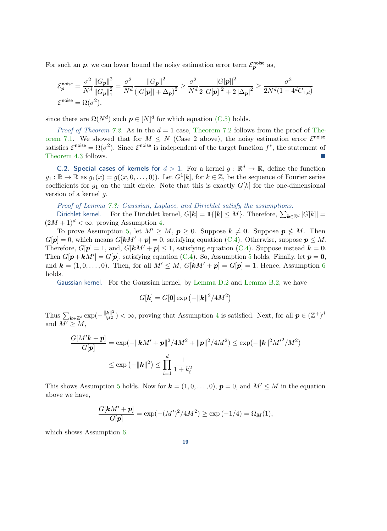For such an  $p$ , we can lower bound the noisy estimation error term  $\mathcal{E}_p^{\text{noise}}$  as,

$$
\begin{aligned} \mathcal{E}_{\pmb{p}}^{\text{noise}} &= \frac{\sigma^2}{N^d} \frac{\|G_{\pmb{p}}\|^2}{\|G_{\pmb{p}}\|_1^2} = \frac{\sigma^2}{N^d} \frac{\|G_{\pmb{p}}\|^2}{\left(|G[\pmb{p}]| + \Delta_{\pmb{p}}\right)^2} \geq \frac{\sigma^2}{N^d} \frac{|G[\pmb{p}]|^2}{2\left|G[\pmb{p}]\right|^2 + 2\left|\Delta_{\pmb{p}}\right|^2} \geq \frac{\sigma^2}{2N^d(1 + 4^d C_{1,d})} \\ \mathcal{E}^{\text{noise}} &= \Omega(\sigma^2), \end{aligned}
$$

since there are  $\Omega(N^d)$  such  $p \in [N]^d$  for which equation [\(C.5\)](#page-17-3) holds.

*Proof of Theorem [7.2.](#page-9-2)* As in the  $d = 1$  case, [Theorem 7.2](#page-9-2) follows from the proof of [The](#page-9-1)[orem 7.1.](#page-9-1) We showed that for  $M \leq N$  (Case 2 above), the noisy estimation error  $\mathcal{E}^{\text{noise}}$ satisfies  $\mathcal{E}^{\text{noise}} = \Omega(\sigma^2)$ . Since  $\mathcal{E}^{\text{noise}}$  is independent of the target function  $f^*$ , the statement of [Theorem 4.3](#page-6-3) follows.

<span id="page-18-0"></span>**C.2. Special cases of kernels for**  $d > 1$ . For a kernel  $g : \mathbb{R}^d \to \mathbb{R}$ , define the function  $g_1 : \mathbb{R} \to \mathbb{R}$  as  $g_1(x) = g((x, 0, \ldots, 0)).$  Let  $G^1[k]$ , for  $k \in \mathbb{Z}$ , be the sequence of Fourier series coefficients for  $g_1$  on the unit circle. Note that this is exactly  $G[k]$  for the one-dimensional version of a kernel g.

Proof of Lemma [7.3:](#page-9-3) Gaussian, Laplace, and Dirichlet satisfy the assumptions.

Dirichlet kernel. For the Dirichlet kernel,  $G[k] = \mathbb{1}{ |k| \leq M }$ . Therefore,  $\sum_{k \in \mathbb{Z}^d} |G[k]| =$  $(2M + 1)<sup>d</sup> < \infty$ , proving Assumption [4.](#page-17-0)

To prove Assumption [5,](#page-17-2) let  $M' \geq M$ ,  $p \geq 0$ . Suppose  $k \neq 0$ . Suppose  $p \nleq M$ . Then  $G[\boldsymbol{p}] = 0$ , which means  $G[\boldsymbol{k}M' + \boldsymbol{p}] = 0$ , satisfying equation [\(C.4\)](#page-17-4). Otherwise, suppose  $\boldsymbol{p} \leq M$ . Therefore,  $G[\mathbf{p}] = 1$ , and,  $G[\mathbf{k}M' + \mathbf{p}] \leq 1$ , satisfying equation [\(C.4\)](#page-17-4). Suppose instead  $\mathbf{k} = \mathbf{0}$ . Then  $G[\mathbf{p} + \mathbf{k}M'] = G[\mathbf{p}]$ , satisfying equation [\(C.4\)](#page-17-4). So, Assumption [5](#page-17-2) holds. Finally, let  $\mathbf{p} = \mathbf{0}$ , and  $\mathbf{k} = (1, 0, \ldots, 0)$ . Then, for all  $M' \leq M$ ,  $G[\mathbf{k}M' + \mathbf{p}] = G[\mathbf{p}] = 1$ . Hence, Assumption [6](#page-17-1) holds.

Gaussian kernel. For the Gaussian kernel, by [Lemma D.2](#page-20-0) and [Lemma B.2,](#page-13-2) we have

$$
G[\boldsymbol{k}]=G[\boldsymbol{0}]\exp\left(-\|\boldsymbol{k}\|^2/4M^2\right)
$$

Thus  $\sum_{k \in \mathbb{Z}^d} \exp(-\frac{\|k\|^2}{M^2}) < \infty$ , proving that Assumption [4](#page-17-0) is satisfied. Next, for all  $p \in (\mathbb{Z}^+)^d$ and  $M' \geq M$ ,

$$
\frac{G[M'\mathbf{k} + \mathbf{p}]}{G[\mathbf{p}]} = \exp(-\|\mathbf{k}M' + \mathbf{p}\|^2/4M^2 + \|\mathbf{p}\|^2/4M^2) \le \exp(-\|\mathbf{k}\|^2 M'^2/M^2)
$$
  

$$
\le \exp(-\|\mathbf{k}\|^2) \le \prod_{i=1}^d \frac{1}{1 + k_i^2}
$$

This shows Assumption [5](#page-17-2) holds. Now for  $\mathbf{k} = (1, 0, \ldots, 0)$ ,  $\mathbf{p} = 0$ , and  $M' \leq M$  in the equation above we have,

$$
\frac{G[\mathbf{k}M' + \mathbf{p}]}{G[\mathbf{p}]} = \exp(-(M')^2/4M^2) \ge \exp(-1/4) = \Omega_M(1),
$$

which shows Assumption [6.](#page-17-1)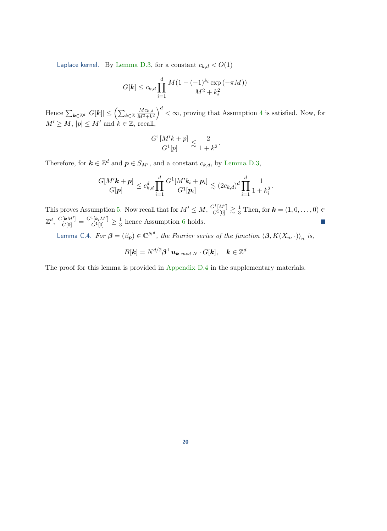Laplace kernel. By [Lemma D.3,](#page-20-1) for a constant  $c_{k,d} < O(1)$ 

$$
G[\mathbf{k}] \le c_{k,d} \prod_{i=1}^{d} \frac{M(1 - (-1)^{k_i} \exp(-\pi M))}{M^2 + k_i^2}
$$

Hence  $\sum_{\boldsymbol{k}\in\mathbb{Z}^d} |G[\boldsymbol{k}]|\leq \left(\sum_{k\in\mathbb{Z}}\frac{Mc_{k,d}}{M^2+k}\right)$  $\frac{Mc_{k,d}}{M^2+k^2}\right)^d < \infty$ , proving that Assumption [4](#page-17-0) is satisfied. Now, for  $M' \geq M$ ,  $|p| \leq M'$  and  $k \in \mathbb{Z}$ , recall,

$$
\frac{G^1[M'k+p]}{G^1[p]} \lesssim \frac{2}{1+k^2}.
$$

Therefore, for  $\mathbf{k} \in \mathbb{Z}^d$  and  $\mathbf{p} \in S_{M'}$ , and a constant  $c_{k,d}$ , by [Lemma D.3,](#page-20-1)

$$
\frac{G[M'\bm{k}+\bm{p}]}{G[\bm{p}]} \leq c_{k,d}^d \prod_{i=1}^d \frac{G^1[M'k_i+\bm{p}_i]}{G^1[\bm{p}_i]} \lesssim (2c_{k,d})^d \prod_{i=1}^d \frac{1}{1+k_i^2}.
$$

This proves Assumption [5.](#page-17-2) Now recall that for  $M' \leq M$ ,  $\frac{G^1[M']}{G^1[0]} \gtrsim \frac{1}{3}$  Then, for  $\mathbf{k} = (1,0,\ldots,0) \in$  $\mathbb{Z}^d$ ,  $\frac{G[kM']}{G[0]} = \frac{G^1[k_iM']}{G^1[0]} \geq \frac{1}{3}$  $\frac{1}{3}$  hence Assumption [6](#page-17-1) holds.

<span id="page-19-0"></span>Lemma C.4. For  $\bm{\beta}=(\beta_{\bm{p}})\in \mathbb{C}^{N^d},$  the Fourier series of the function  $\langle\bm{\beta},K(X_n,\cdot)\rangle_n$  is,

$$
B[\boldsymbol{k}] = N^{d/2} \boldsymbol{\beta}^\top \boldsymbol{u_k}_{mod~N} \cdot G[\boldsymbol{k}], \quad \boldsymbol{k} \in \mathbb{Z}^d
$$

The proof for this lemma is provided in [Appendix D.4](#page-23-0) in the supplementary materials.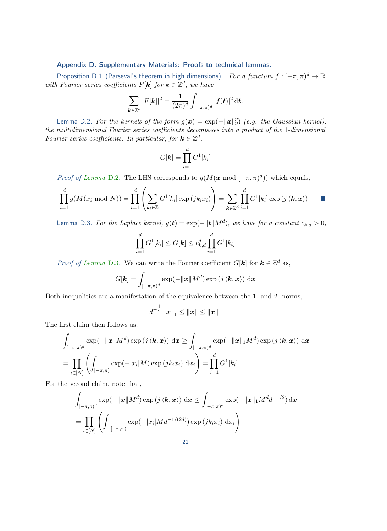### Appendix D. Supplementary Materials: Proofs to technical lemmas.

Proposition D.1 (Parseval's theorem in high dimensions). For a function  $f:[-\pi,\pi)^d\to\mathbb{R}$ with Fourier series coefficients  $F[k]$  for  $k \in \mathbb{Z}^d$ , we have

$$
\sum_{\mathbf{k}\in\mathbb{Z}^d}|F[\mathbf{k}]|^2=\frac{1}{(2\pi)^d}\int_{[-\pi,\pi)^d}|f(\mathbf{t})|^2\,\mathrm{d}\mathbf{t}.
$$

<span id="page-20-0"></span>Lemma D.2. For the kernels of the form  $g(x) = \exp(-\|x\|_p^p)$  (e.g. the Gaussian kernel), the multidimensional Fourier series coefficients decomposes into a product of the 1-dimensional Fourier series coefficients. In particular, for  $\mathbf{k} \in \mathbb{Z}^d$ ,

<span id="page-20-2"></span>
$$
G[\mathbf{k}] = \prod_{i=1}^d G^1[k_i]
$$

*Proof of [Lemma](#page-20-0)* D.2. The LHS corresponds to  $g(M(\boldsymbol{x} \mod [-\pi,\pi)^d))$  which equals,

$$
\prod_{i=1}^d g(M(x_i \bmod N)) = \prod_{i=1}^d \left( \sum_{k_i \in \mathbb{Z}} G^1[k_i] \exp(jk_i x_i) \right) = \sum_{\mathbf{k} \in \mathbb{Z}^d} \prod_{i=1}^d G^1[k_i] \exp(j \langle \mathbf{k}, \mathbf{x} \rangle).
$$

<span id="page-20-1"></span>Lemma D.3. For the Laplace kernel,  $g(t) = \exp(-\Vert t \Vert M^d)$ , we have for a constant  $c_{k,d} > 0$ ,

$$
\prod_{i=1}^{d} G^{1}[k_{i}] \leq G[k] \leq c_{k,d}^{d} \prod_{i=1}^{d} G^{1}[k_{i}]
$$

*Proof of [Lemma](#page-20-1)* D.3. We can write the Fourier coefficient  $G[k]$  for  $k \in \mathbb{Z}^d$  as,

$$
G[\mathbf{k}] = \int_{[-\pi,\pi)^d} \exp(-\|\mathbf{x}\| M^d) \exp(j \langle \mathbf{k}, \mathbf{x} \rangle) \, \mathrm{d}\mathbf{x}
$$

Both inequalities are a manifestation of the equivalence between the 1- and 2- norms,

$$
d^{-\frac{1}{2}}\left\|x\right\|_1 \leq \left\|x\right\| \leq \left\|x\right\|_1
$$

The first claim then follows as,

$$
\int_{\left[-\pi,\pi\right)^d} \exp(-\|x\|M^d) \exp\left(j\left\langle \mathbf{k},\mathbf{x}\right\rangle\right) \, \mathrm{d}\mathbf{x} \ge \int_{\left[-\pi,\pi\right)^d} \exp(-\|x\|_1 M^d) \exp\left(j\left\langle \mathbf{k},\mathbf{x}\right\rangle\right) \, \mathrm{d}\mathbf{x}
$$
\n
$$
= \prod_{i \in [N]} \left( \int_{\left[-\pi,\pi\right)} \exp(-|x_i|M) \exp\left(jk_i x_i\right) \, \mathrm{d}x_i \right) = \prod_{i=1}^d G^1[k_i]
$$

For the second claim, note that,

$$
\int_{[-\pi,\pi)^d} \exp(-\|\boldsymbol{x}\|M^d) \exp(j \langle \boldsymbol{k}, \boldsymbol{x} \rangle) \, d\boldsymbol{x} \le \int_{[-\pi,\pi)^d} \exp(-\|\boldsymbol{x}\|_1 M^d d^{-1/2}) \, d\boldsymbol{x}
$$
\n
$$
= \prod_{i \in [N]} \left( \int_{[-[-\pi,\pi)} \exp(-|x_i| M d^{-1/(2d)}) \exp(jk_i x_i) \, dx_i \right)
$$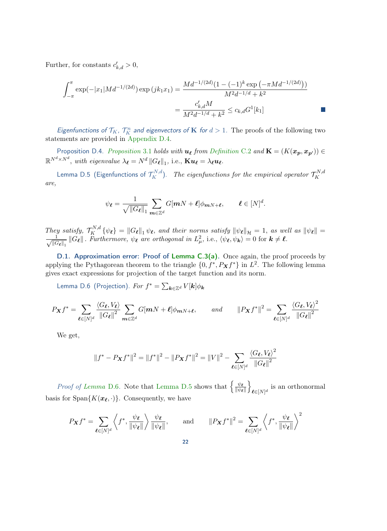Further, for constants  $c'_{k,d} > 0$ ,

$$
\int_{-\pi}^{\pi} \exp(-|x_1|Md^{-1/(2d)}) \exp(jk_1x_1) = \frac{Md^{-1/(2d)}(1 - (-1)^k \exp(-\pi Md^{-1/(2d)}))}{M^2d^{-1/d} + k^2}
$$

$$
= \frac{c'_{k,d}M}{M^2d^{-1/d} + k^2} \le c_{k,d}G^1[k_1]
$$

Eigenfunctions of  $\mathcal{T}_K$ ,  $\mathcal{T}_K^n$  and eigenvectors of **K** for  $d > 1$ . The proofs of the following two statements are provided in [Appendix D.4.](#page-23-0)

<span id="page-21-3"></span>[Proposition](#page-4-1) D.4. Proposition 3.1 holds with  $u_{\ell}$  from [Definition](#page-16-4) C.2 and  $\mathbf{K} = (K(\mathbf{x_p}, \mathbf{x_{p'}})) \in$  $\mathbb{R}^{N^d \times N^d}$ , with eigenvalue  $\lambda_{\ell} = N^d ||G_{\ell}||_1$ , i.e.,  $\mathbf{K} \mathbf{u}_{\ell} = \lambda_{\ell} \mathbf{u}_{\ell}$ .

<span id="page-21-2"></span>Lemma D.5 (Eigenfunctions of  $\mathcal{T}^{N,d}_K$ ). The eigenfunctions for the empirical operator  $\mathcal{T}^{N,d}_K$ K are,

$$
\psi_{\boldsymbol{\ell}} = \frac{1}{\sqrt{\|G_{\boldsymbol{\ell}}\|_1}} \sum_{\boldsymbol{m} \in \mathbb{Z}^d} G[\boldsymbol{m} N + \boldsymbol{\ell}] \phi_{\boldsymbol{m} N + \boldsymbol{\ell}}, \qquad \boldsymbol{\ell} \in [N]^d.
$$

They satisfy,  $\mathcal{T}_{K}^{N,d} \{\psi_{\ell}\} = ||G_{\ell}||_{1} \psi_{\ell}$ , and their norms satisfy  $||\psi_{\ell}||_{\mathcal{H}} = 1$ , as well as  $||\psi_{\ell}|| =$  $\frac{1}{\sqrt{1-\frac{1}{2}}}$  $\frac{1}{\|\mathcal{G}_{\ell}\|_1} \|G_{\ell}\|$ . Furthermore,  $\psi_{\ell}$  are orthogonal in  $L^2_{\mu}$ , i.e.,  $\langle \psi_{\ell}, \psi_{\mathbf{k}} \rangle = 0$  for  $\mathbf{k} \neq \ell$ .

<span id="page-21-0"></span>D.1. Approximation error: Proof of [Lemma C.3](#page-16-0)[\(a\).](#page-16-2) Once again, the proof proceeds by applying the Pythagorean theorem to the triangle  $\{0, f^*, P_{\mathbf{X}} f^*\}\$  in  $L^2$ . The following lemma gives exact expressions for projection of the target function and its norm.

<span id="page-21-1"></span>Lemma D.6 (Projection).  $For\ f^*=\sum_{\boldsymbol{k}\in\mathbb{Z}^d}V[\boldsymbol{k}]\phi_{\boldsymbol{k}}$ 

$$
P_{\mathbf{X}}f^* = \sum_{\ell \in [N]^d} \frac{\langle G_{\ell}, V_{\ell} \rangle}{\|G_{\ell}\|^2} \sum_{\mathbf{m} \in \mathbb{Z}^d} G[\mathbf{m}N + \ell] \phi_{\mathbf{m}N + \ell}, \quad \text{and} \quad \|P_{\mathbf{X}}f^*\|^2 = \sum_{\ell \in [N]^d} \frac{\langle G_{\ell}, V_{\ell} \rangle^2}{\|G_{\ell}\|^2}
$$

We get,

$$
||f^* - P_{\mathbf{X}}f^*||^2 = ||f^*||^2 - ||P_{\mathbf{X}}f^*||^2 = ||V||^2 - \sum_{\ell \in [N]^d} \frac{\langle G_{\ell}, V_{\ell} \rangle^2}{||G_{\ell}||^2}
$$

*Proof of [Lemma](#page-21-1)* D.6. Note that [Lemma D.5](#page-21-2) shows that  $\begin{cases} \frac{\psi_{\ell}}{\|\psi_{\ell}\|_2}$  $\overline{\|\psi_{\bm{\ell}}\|}$ o is an orthonormal  $\ell \in [N]^d$ basis for  $\text{Span}\{K(\boldsymbol{x}_{\ell},\cdot)\}\$ . Consequently, we have

$$
P_{\boldsymbol{X}}f^* = \sum_{\boldsymbol{\ell} \in [N]^d} \left\langle f^*, \frac{\psi_{\boldsymbol{\ell}}}{\|\psi_{\boldsymbol{\ell}}\|}\right\rangle \frac{\psi_{\boldsymbol{\ell}}}{\|\psi_{\boldsymbol{\ell}}\|}, \quad \text{and} \quad \|P_{\boldsymbol{X}}f^*\|^2 = \sum_{\boldsymbol{\ell} \in [N]^d} \left\langle f^*, \frac{\psi_{\boldsymbol{\ell}}}{\|\psi_{\boldsymbol{\ell}}\|}\right\rangle^2
$$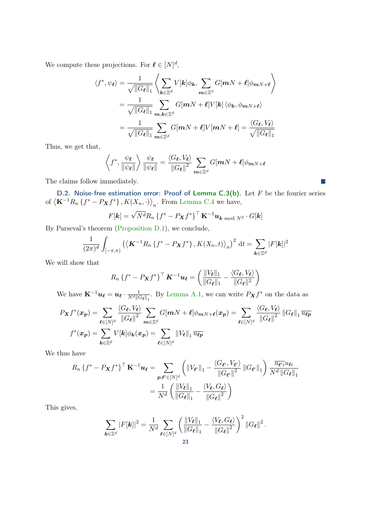We compute these projections. For  $\ell \in [N]^d$ ,

$$
\langle f^*, \psi_{\ell} \rangle = \frac{1}{\sqrt{||G_{\ell}||_1}} \left\langle \sum_{\mathbf{k} \in \mathbb{Z}^d} V[\mathbf{k}] \phi_{\mathbf{k}}, \sum_{\mathbf{m} \in \mathbb{Z}^d} G[\mathbf{m}N + \ell] \phi_{\mathbf{m}N + \ell} \right\rangle
$$
  

$$
= \frac{1}{\sqrt{||G_{\ell}||_1}} \sum_{\mathbf{m}, \mathbf{k} \in \mathbb{Z}^d} G[\mathbf{m}N + \ell] V[\mathbf{k}] \left\langle \phi_{\mathbf{k}}, \phi_{\mathbf{m}N + \ell} \right\rangle
$$
  

$$
= \frac{1}{\sqrt{||G_{\ell}||_1}} \sum_{\mathbf{m} \in \mathbb{Z}^d} G[\mathbf{m}N + \ell] V[\mathbf{m}N + \ell] = \frac{\langle G_{\ell}, V_{\ell} \rangle}{\sqrt{||G_{\ell}||_1}}
$$

Thus, we get that,

$$
\left\langle f^*, \frac{\psi_{\ell}}{\|\psi_{\ell}\|}\right\rangle \frac{\psi_{\ell}}{\|\psi_{\ell}\|} = \frac{\langle G_{\ell}, V_{\ell} \rangle}{\|G_{\ell}\|^2} \sum_{m \in \mathbb{Z}^d} G[mN + \ell] \phi_{mN + \ell}
$$

The claims follow immediately.

<span id="page-22-0"></span>D.2. Noise-free estimation error: Proof of Lemma  $C.3(b)$ . Let F be the fourier series of  $\langle \mathbf{K}^{-1}R_n \{f^* - P_{\mathbf{X}}f^* \}, K(X_n, \cdot) \rangle_n$ . From [Lemma C.4](#page-19-0) we have,

$$
F[\mathbf{k}] = \sqrt{N^d} R_n \left\{ f^* - P_{\mathbf{X}} f^* \right\}^\top \mathbf{K}^{-1} \mathbf{u}_{\mathbf{k} \bmod N^d} \cdot G[\mathbf{k}]
$$

By Parseval's theorem [\(Proposition D.1\)](#page-20-2), we conclude,

$$
\frac{1}{(2\pi)^d} \int_{\left[-\pi,\pi\right)} \left( \left\langle \mathbf{K}^{-1} R_n \left\{ f^* - P_{\mathbf{X}} f^* \right\}, K(X_n, t) \right\rangle_n \right)^2 \, \mathrm{d}t = \sum_{\mathbf{k} \in \mathbb{Z}^d} |F[\mathbf{k}]|^2
$$

We will show that

$$
R_n\left\{f^* - P_{\boldsymbol{X}}f^*\right\}^\top \boldsymbol{K}^{-1} \boldsymbol{u}_{\boldsymbol{\ell}} = \left(\frac{\|V_{\boldsymbol{\ell}}\|_1}{\|G_{\boldsymbol{\ell}}\|_1} - \frac{\langle G_{\boldsymbol{\ell}}, V_{\boldsymbol{\ell}}\rangle}{\|G_{\boldsymbol{\ell}}\|^2}\right)
$$

We have  $\mathbf{K}^{-1}\boldsymbol{u}_{\boldsymbol{\ell}} = \boldsymbol{u}_{\boldsymbol{\ell}} \cdot \frac{1}{N^d ||G_{\boldsymbol{\ell}}||_1}$ . By [Lemma A.1,](#page-10-13) we can write  $P_{\boldsymbol{X}}f^*$  on the data as

$$
P_{\mathbf{X}}f^*(\mathbf{x}_p) = \sum_{\ell \in [N]^d} \frac{\langle G_{\ell}, V_{\ell} \rangle}{\|G_{\ell}\|^2} \sum_{\mathbf{m} \in \mathbb{Z}^d} G[\mathbf{m}N + \ell] \phi_{\mathbf{m}N + \ell}(\mathbf{x}_p) = \sum_{\ell \in [N]^d} \frac{\langle G_{\ell}, V_{\ell} \rangle}{\|G_{\ell}\|^2} \|G_{\ell}\|_1 \overline{u_{\ell p}}
$$

$$
f^*(\mathbf{x}_p) = \sum_{\mathbf{k} \in \mathbb{Z}^d} V[\mathbf{k}] \phi_{\mathbf{k}}(\mathbf{x}_p) = \sum_{\ell \in [N]^d} \|V_{\ell}\|_1 \overline{u_{\ell p}}
$$

We thus have

$$
R_n \left\{ f^* - P_{\mathbf{X}} f^* \right\}^\top \mathbf{K}^{-1} \mathbf{u}_{\ell} = \sum_{\mathbf{p}, \ell' \in [N]^d} \left( \left\| V_{\ell'} \right\|_1 - \frac{\left\langle G_{\ell'}, V_{\ell'} \right\rangle}{\left\| G_{\ell'} \right\|^2} \left\| G_{\ell'} \right\|_1 \right) \frac{\overline{u_{\ell'}} u_{\ell i}}{\left\| G_{\ell} \right\|_1} = \frac{1}{N^d} \left( \frac{\left\| V_{\ell} \right\|_1}{\left\| G_{\ell} \right\|_1} - \frac{\left\langle V_{\ell}, G_{\ell} \right\rangle}{\left\| G_{\ell} \right\|^2} \right)
$$

This gives,

$$
\sum_{\boldsymbol{k}\in\mathbb{Z}^d} |F[\boldsymbol{k}]|^2 = \frac{1}{N^d} \sum_{\boldsymbol{\ell}\in[N]^d} \left( \frac{\|V_{\boldsymbol{\ell}}\|_1}{\|G_{\boldsymbol{\ell}}\|_1} - \frac{\langle V_{\boldsymbol{\ell}},G_{\boldsymbol{\ell}}\rangle}{\|G_{\boldsymbol{\ell}}\|^2} \right)^2 \|G_{\boldsymbol{\ell}}\|^2.
$$

 $\mathcal{C}^{\mathcal{A}}$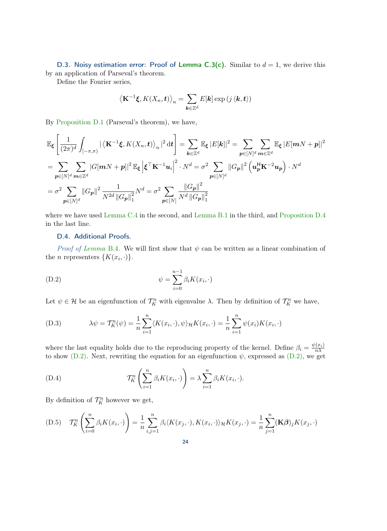<span id="page-23-1"></span>**D.3.** Noisy estimation error: Proof of [Lemma C.3](#page-16-0)[\(c\).](#page-16-1) Similar to  $d = 1$ , we derive this by an application of Parseval's theorem.

Define the Fourier series,

$$
\left\langle \mathbf{K}^{-1}\boldsymbol{\xi}, K(X_n, \boldsymbol{t}) \right\rangle_n = \sum_{\boldsymbol{k} \in \mathbb{Z}^d} E[\boldsymbol{k}] \exp \left( j \left\langle \boldsymbol{k}, \boldsymbol{t} \right\rangle \right)
$$

By [Proposition D.1](#page-20-2) (Parseval's theorem), we have,

$$
\mathbb{E}_{\xi} \left[ \frac{1}{(2\pi)^d} \int_{[-\pi,\pi]} \left| \left\langle \mathbf{K}^{-1}\xi, K(X_n, t) \right\rangle_n \right|^2 dt \right] = \sum_{\mathbf{k} \in \mathbb{Z}^d} \mathbb{E}_{\xi} |E[\mathbf{k}]|^2 = \sum_{\mathbf{p} \in [N]^d} \sum_{\mathbf{m} \in \mathbb{Z}^d} \mathbb{E}_{\xi} |E[\mathbf{m}N + \mathbf{p}]|^2
$$
\n
$$
= \sum_{\mathbf{p} \in [N]^d} \sum_{\mathbf{m} \in \mathbb{Z}^d} |G[\mathbf{m}N + \mathbf{p}]|^2 \mathbb{E}_{\xi} \left| \xi^\top \mathbf{K}^{-1} \mathbf{u}_i \right|^2 \cdot N^d = \sigma^2 \sum_{\mathbf{p} \in [N]^d} ||G_{\mathbf{p}}||^2 \left( \mathbf{u}_{\mathbf{p}}^{\mathbf{H}} \mathbf{K}^{-2} \mathbf{u}_{\mathbf{p}} \right) \cdot N^d
$$
\n
$$
= \sigma^2 \sum_{\mathbf{p} \in [N]^d} ||G_{\mathbf{p}}||^2 \frac{1}{N^{2d} ||G_{\mathbf{p}}||_1^2} N^d = \sigma^2 \sum_{\mathbf{p} \in [N]} \frac{||G_{\mathbf{p}}||^2}{N^d ||G_{\mathbf{p}}||_1^2}
$$

where we have used [Lemma C.4](#page-19-0) in the second, and [Lemma B.1](#page-13-1) in the third, and [Proposition D.4](#page-21-3) in the last line.

### <span id="page-23-0"></span>D.4. Additional Proofs.

*Proof of [Lemma](#page-14-2)* B.4. We will first show that  $\psi$  can be written as a linear combination of the *n* representers  $\{K(x_i, \cdot)\}.$ 

<span id="page-23-2"></span>(D.2) 
$$
\psi = \sum_{i=0}^{n-1} \beta_i K(x_i, \cdot)
$$

Let  $\psi \in \mathcal{H}$  be an eigenfunction of  $\mathcal{T}_K^n$  with eigenvalue  $\lambda$ . Then by definition of  $\mathcal{T}_K^n$  we have,

(D.3) 
$$
\lambda \psi = \mathcal{T}_K^n(\psi) = \frac{1}{n} \sum_{i=1}^n \langle K(x_i, \cdot), \psi \rangle_H K(x_i, \cdot) = \frac{1}{n} \sum_{i=1}^n \psi(x_i) K(x_i, \cdot)
$$

where the last equality holds due to the reproducing property of the kernel. Define  $\beta_i = \frac{\psi(x_i)}{n\lambda}$  $n\lambda$ to show [\(D.2\).](#page-23-2) Next, rewriting the equation for an eigenfunction  $\psi$ , expressed as [\(D.2\),](#page-23-2) we get

(D.4) 
$$
\mathcal{T}_K^n\left(\sum_{i=1}^n \beta_i K(x_i,\cdot)\right) = \lambda \sum_{i=1}^n \beta_i K(x_i,\cdot).
$$

By definition of  $\mathcal{T}_K^n$  however we get,

<span id="page-23-3"></span>(D.5) 
$$
\mathcal{T}_K^n\left(\sum_{i=0}^n \beta_i K(x_i,\cdot)\right) = \frac{1}{n} \sum_{i,j=1}^n \beta_i \langle K(x_j,\cdot), K(x_i,\cdot) \rangle_{\mathcal{H}} K(x_j,\cdot) = \frac{1}{n} \sum_{j=1}^n (\mathbf{K}\boldsymbol{\beta})_j K(x_j,\cdot)
$$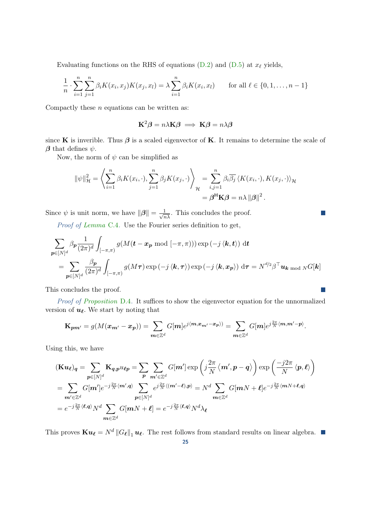Evaluating functions on the RHS of equations  $(D.2)$  and  $(D.5)$  at  $x_{\ell}$  yields,

$$
\frac{1}{n} \cdot \sum_{i=1}^{n} \sum_{j=1}^{n} \beta_i K(x_i, x_j) K(x_j, x_l) = \lambda \sum_{i=1}^{n} \beta_i K(x_i, x_l) \quad \text{for all } \ell \in \{0, 1, \dots, n-1\}
$$

Compactly these  $n$  equations can be written as:

$$
\mathbf{K}^2 \boldsymbol{\beta} = n \lambda \mathbf{K} \boldsymbol{\beta} \implies \mathbf{K} \boldsymbol{\beta} = n \lambda \boldsymbol{\beta}
$$

since K is inverible. Thus  $\beta$  is a scaled eigenvector of K. It remains to determine the scale of  $\beta$  that defines  $\psi$ .

Now, the norm of  $\psi$  can be simplified as

$$
\|\psi\|_{\mathcal{H}}^2 = \left\langle \sum_{i=1}^n \beta_i K(x_i, \cdot), \sum_{j=1}^n \beta_j K(x_j, \cdot) \right\rangle_{\mathcal{H}} = \sum_{i,j=1}^n \beta_i \overline{\beta_j} \left\langle K(x_i, \cdot), K(x_j, \cdot) \right\rangle_{\mathcal{H}} = \beta^{\mathsf{H}} \mathbf{K} \beta = n \lambda ||\beta||^2.
$$

 $\mathcal{C}^{\mathcal{A}}$ 

 $\mathcal{L}_{\mathcal{A}}$ 

Since  $\psi$  is unit norm, we have  $\|\boldsymbol{\beta}\| = \frac{1}{\sqrt{n\lambda}}$ . This concludes the proof.

Proof of [Lemma](#page-19-0) C.4. Use the Fourier series definition to get,

$$
\sum_{\mathbf{p}\in[N]^d} \beta_{\mathbf{p}} \frac{1}{(2\pi)^d} \int_{[-\pi,\pi)} g(M(\mathbf{t}-\mathbf{x}_{\mathbf{p}}\bmod[-\pi,\pi))) \exp\left(-j\left\langle \mathbf{k},\mathbf{t}\right\rangle\right) d\mathbf{t}
$$
\n
$$
= \sum_{\mathbf{p}\in[N]^d} \frac{\beta_{\mathbf{p}}}{(2\pi)^d} \int_{[-\pi,\pi)} g(M\boldsymbol{\tau}) \exp\left(-j\left\langle \mathbf{k},\boldsymbol{\tau}\right\rangle\right) \exp\left(-j\left\langle \mathbf{k},\mathbf{x}_{\mathbf{p}}\right\rangle\right) d\boldsymbol{\tau} = N^{d/2} \beta^{\top} \mathbf{u}_{\mathbf{k}\bmod[N} G[\mathbf{k}]
$$

This concludes the proof.

Proof of [Proposition](#page-21-3) D.4. It suffices to show the eigenvector equation for the unnormalized version of  $u_{\ell}$ . We start by noting that

$$
\mathbf{K}_{\mathbf{p}\mathbf{m}'}=g(M(\mathbf{x}_{\mathbf{m}'}-\mathbf{x}_{\mathbf{p}}))=\sum_{\mathbf{m}\in\mathbb{Z}^d}G[\mathbf{m}]e^{j\langle\mathbf{m},\mathbf{x}_{\mathbf{m}'}-\mathbf{x}_{\mathbf{p}}\rangle)}=\sum_{\mathbf{m}\in\mathbb{Z}^d}G[\mathbf{m}]e^{j\frac{2\pi}{N}\langle\mathbf{m},\mathbf{m}'-\mathbf{p}\rangle}.
$$

Using this, we have

$$
(\mathbf{K}u_{\ell})_{q} = \sum_{\mathbf{p} \in [N]^{d}} \mathbf{K}_{q,p} u_{\ell p} = \sum_{\mathbf{p}} \sum_{\mathbf{m'} \in \mathbb{Z}^{d}} G[\mathbf{m'}] \exp\left(j\frac{2\pi}{N}\left\langle \mathbf{m'}, \mathbf{p} - \mathbf{q} \right\rangle\right) \exp\left(\frac{-j2\pi}{N}\left\langle \mathbf{p}, \ell\right\rangle\right)
$$
  
\n
$$
= \sum_{\mathbf{m'} \in \mathbb{Z}^{d}} G[\mathbf{m'}] e^{-j\frac{2\pi}{N}\left\langle \mathbf{m'}, \mathbf{q} \right\rangle} \sum_{\mathbf{p} \in [N]^{d}} e^{j\frac{2\pi}{N}\left\langle \left(\mathbf{m'} - \ell\right), \mathbf{p} \right\rangle} = N^{d} \sum_{\mathbf{m} \in \mathbb{Z}^{d}} G[\mathbf{m}N + \ell] e^{-j\frac{2\pi}{N}\left\langle \mathbf{m}N + \ell, \mathbf{q} \right\rangle}
$$
  
\n
$$
= e^{-j\frac{2\pi}{N}\left\langle \ell, \mathbf{q} \right\rangle} N^{d} \sum_{\mathbf{m} \in \mathbb{Z}^{d}} G[\mathbf{m}N + \ell] = e^{-j\frac{2\pi}{N}\left\langle \ell, \mathbf{q} \right\rangle} N^{d} \lambda_{\ell}
$$

This proves  $\mathbf{K}u_\ell = N^d ||G_\ell||_1 u_\ell$ . The rest follows from standard results on linear algebra.